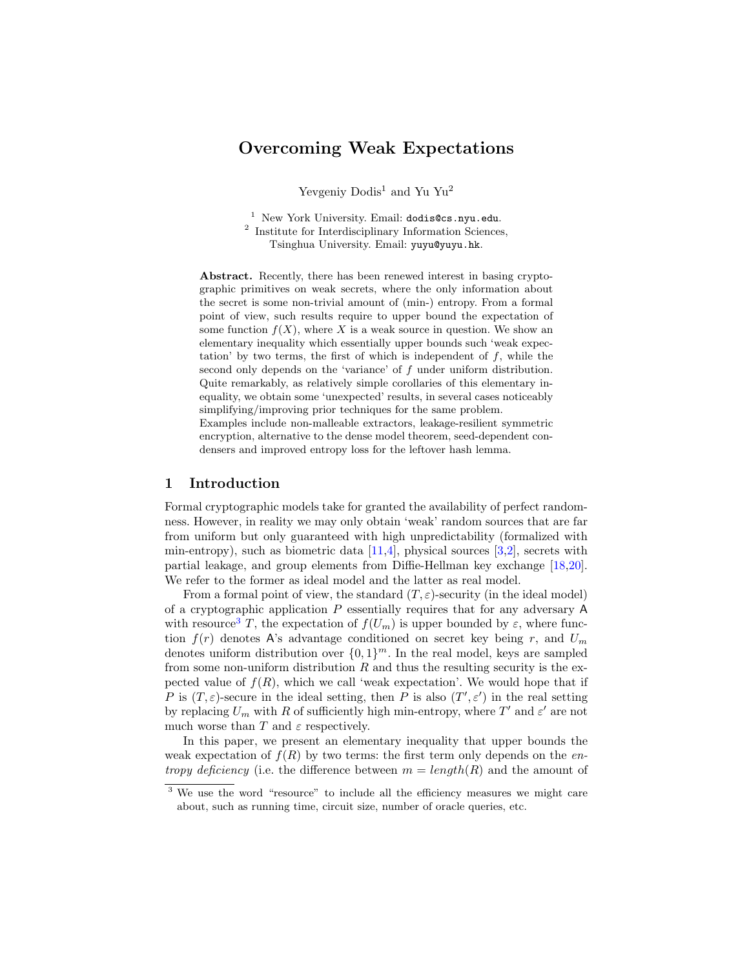# Overcoming Weak Expectations

Yevgeniy Dodis<sup>1</sup> and Yu Yu<sup>2</sup>

<sup>1</sup> New York University. Email: dodis@cs.nyu.edu. 2 Institute for Interdisciplinary Information Sciences, Tsinghua University. Email: yuyu@yuyu.hk.

Abstract. Recently, there has been renewed interest in basing cryptographic primitives on weak secrets, where the only information about the secret is some non-trivial amount of (min-) entropy. From a formal point of view, such results require to upper bound the expectation of some function  $f(X)$ , where X is a weak source in question. We show an elementary inequality which essentially upper bounds such 'weak expectation' by two terms, the first of which is independent of  $f$ , while the second only depends on the 'variance' of f under uniform distribution. Quite remarkably, as relatively simple corollaries of this elementary inequality, we obtain some 'unexpected' results, in several cases noticeably simplifying/improving prior techniques for the same problem. Examples include non-malleable extractors, leakage-resilient symmetric encryption, alternative to the dense model theorem, seed-dependent condensers and improved entropy loss for the leftover hash lemma.

## 1 Introduction

Formal cryptographic models take for granted the availability of perfect randomness. However, in reality we may only obtain 'weak' random sources that are far from uniform but only guaranteed with high unpredictability (formalized with min-entropy), such as biometric data  $[11,4]$  $[11,4]$ , physical sources  $[3,2]$  $[3,2]$ , secrets with partial leakage, and group elements from Diffie-Hellman key exchange [\[18,](#page-21-0)[20\]](#page-21-1). We refer to the former as ideal model and the latter as real model.

From a formal point of view, the standard  $(T, \varepsilon)$ -security (in the ideal model) of a cryptographic application  $P$  essentially requires that for any adversary  $A$ with resource<sup>[3](#page-0-0)</sup> T, the expectation of  $f(U_m)$  is upper bounded by  $\varepsilon$ , where function  $f(r)$  denotes A's advantage conditioned on secret key being r, and  $U_m$ denotes uniform distribution over  $\{0,1\}^m$ . In the real model, keys are sampled from some non-uniform distribution  $R$  and thus the resulting security is the expected value of  $f(R)$ , which we call 'weak expectation'. We would hope that if P is  $(T, \varepsilon)$ -secure in the ideal setting, then P is also  $(T', \varepsilon')$  in the real setting by replacing  $U_m$  with R of sufficiently high min-entropy, where  $T'$  and  $\varepsilon'$  are not much worse than  $T$  and  $\varepsilon$  respectively.

In this paper, we present an elementary inequality that upper bounds the weak expectation of  $f(R)$  by two terms: the first term only depends on the en*tropy deficiency* (i.e. the difference between  $m = length(R)$  and the amount of

<span id="page-0-0"></span><sup>&</sup>lt;sup>3</sup> We use the word "resource" to include all the efficiency measures we might care about, such as running time, circuit size, number of oracle queries, etc.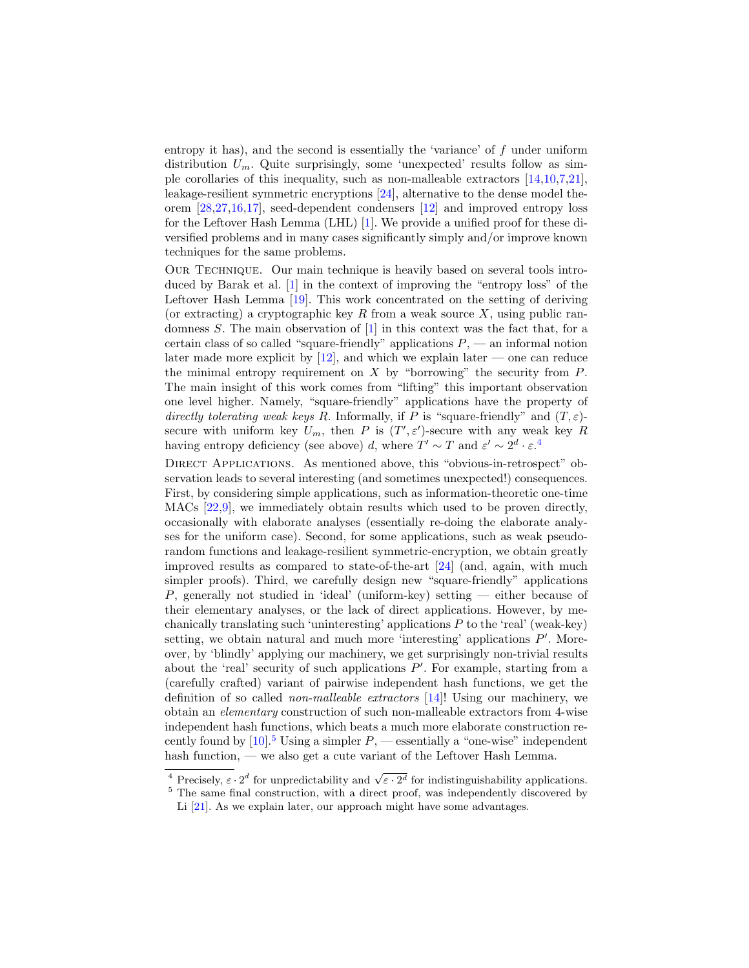entropy it has), and the second is essentially the 'variance' of  $f$  under uniform distribution  $U_m$ . Quite surprisingly, some 'unexpected' results follow as simple corollaries of this inequality, such as non-malleable extractors [\[14,](#page-21-2)[10,](#page-20-4)[7,](#page-20-5)[21\]](#page-21-3), leakage-resilient symmetric encryptions [\[24\]](#page-21-4), alternative to the dense model theorem [\[28](#page-21-5)[,27,](#page-21-6)[16,](#page-21-7)[17\]](#page-21-8), seed-dependent condensers [\[12\]](#page-20-6) and improved entropy loss for the Leftover Hash Lemma (LHL) [\[1\]](#page-20-7). We provide a unified proof for these diversified problems and in many cases significantly simply and/or improve known techniques for the same problems.

Our Technique. Our main technique is heavily based on several tools introduced by Barak et al. [\[1\]](#page-20-7) in the context of improving the "entropy loss" of the Leftover Hash Lemma [\[19\]](#page-21-9). This work concentrated on the setting of deriving (or extracting) a cryptographic key R from a weak source  $X$ , using public randomness S. The main observation of [\[1\]](#page-20-7) in this context was the fact that, for a certain class of so called "square-friendly" applications  $P$ , — an informal notion later made more explicit by  $[12]$ , and which we explain later — one can reduce the minimal entropy requirement on  $X$  by "borrowing" the security from  $P$ . The main insight of this work comes from "lifting" this important observation one level higher. Namely, "square-friendly" applications have the property of directly tolerating weak keys R. Informally, if P is "square-friendly" and  $(T, \varepsilon)$ secure with uniform key  $U_m$ , then P is  $(T', \varepsilon')$ -secure with any weak key R having entropy deficiency (see above) d, where  $T' \sim T$  and  $\varepsilon' \sim 2^d \cdot \varepsilon^4$  $\varepsilon' \sim 2^d \cdot \varepsilon^4$ .

DIRECT APPLICATIONS. As mentioned above, this "obvious-in-retrospect" observation leads to several interesting (and sometimes unexpected!) consequences. First, by considering simple applications, such as information-theoretic one-time MACs [\[22,](#page-21-10)[9\]](#page-20-8), we immediately obtain results which used to be proven directly, occasionally with elaborate analyses (essentially re-doing the elaborate analyses for the uniform case). Second, for some applications, such as weak pseudorandom functions and leakage-resilient symmetric-encryption, we obtain greatly improved results as compared to state-of-the-art [\[24\]](#page-21-4) (and, again, with much simpler proofs). Third, we carefully design new "square-friendly" applications P, generally not studied in 'ideal' (uniform-key) setting — either because of their elementary analyses, or the lack of direct applications. However, by mechanically translating such 'uninteresting' applications  $P$  to the 'real' (weak-key) setting, we obtain natural and much more 'interesting' applications  $P'$ . Moreover, by 'blindly' applying our machinery, we get surprisingly non-trivial results about the 'real' security of such applications  $P'$ . For example, starting from a (carefully crafted) variant of pairwise independent hash functions, we get the definition of so called non-malleable extractors [\[14\]](#page-21-2)! Using our machinery, we obtain an elementary construction of such non-malleable extractors from 4-wise independent hash functions, which beats a much more elaborate construction recently found by  $[10]$ .<sup>[5](#page-1-1)</sup> Using a simpler  $P$ , — essentially a "one-wise" independent hash function, — we also get a cute variant of the Leftover Hash Lemma.

<span id="page-1-0"></span><sup>&</sup>lt;sup>4</sup> Precisely,  $\varepsilon \cdot 2^d$  for unpredictability and  $\sqrt{\varepsilon \cdot 2^d}$  for indistinguishability applications.

<span id="page-1-1"></span><sup>&</sup>lt;sup>5</sup> The same final construction, with a direct proof, was independently discovered by Li [\[21\]](#page-21-3). As we explain later, our approach might have some advantages.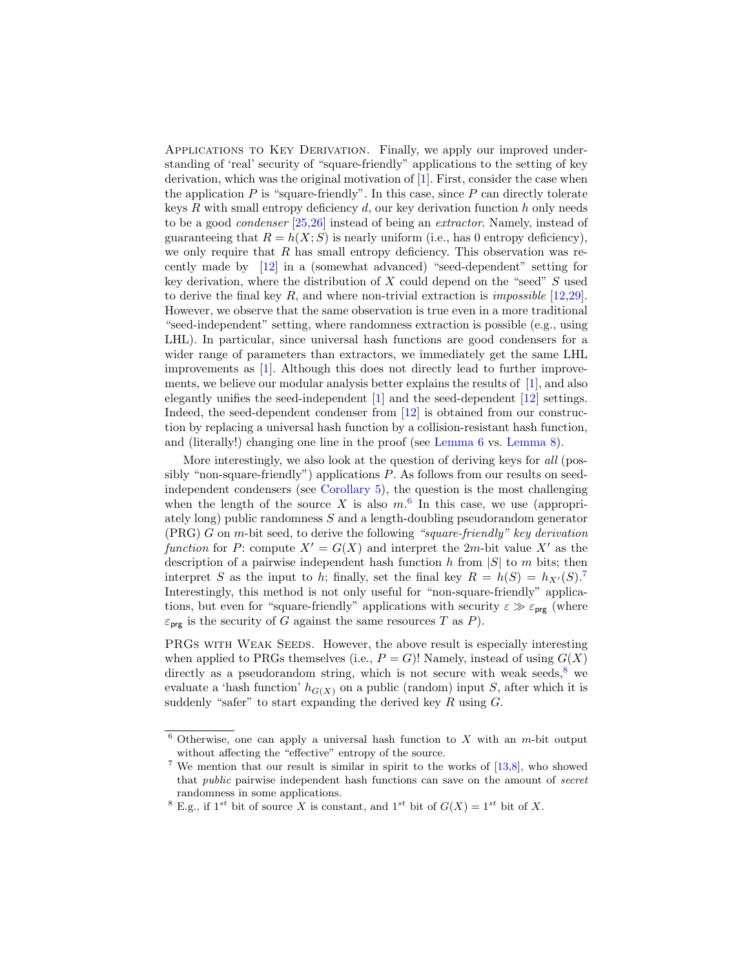Applications to Key Derivation. Finally, we apply our improved understanding of 'real' security of "square-friendly" applications to the setting of key derivation, which was the original motivation of [\[1\]](#page-20-7). First, consider the case when the application  $P$  is "square-friendly". In this case, since  $P$  can directly tolerate keys  $R$  with small entropy deficiency  $d$ , our key derivation function  $h$  only needs to be a good condenser [\[25](#page-21-11)[,26\]](#page-21-12) instead of being an extractor. Namely, instead of guaranteeing that  $R = h(X; S)$  is nearly uniform (i.e., has 0 entropy deficiency), we only require that  $R$  has small entropy deficiency. This observation was recently made by [\[12\]](#page-20-6) in a (somewhat advanced) "seed-dependent" setting for key derivation, where the distribution of  $X$  could depend on the "seed"  $S$  used to derive the final key  $R$ , and where non-trivial extraction is *impossible* [\[12](#page-20-6)[,29\]](#page-21-13). However, we observe that the same observation is true even in a more traditional "seed-independent" setting, where randomness extraction is possible (e.g., using LHL). In particular, since universal hash functions are good condensers for a wider range of parameters than extractors, we immediately get the same LHL improvements as [\[1\]](#page-20-7). Although this does not directly lead to further improvements, we believe our modular analysis better explains the results of [\[1\]](#page-20-7), and also elegantly unifies the seed-independent [\[1\]](#page-20-7) and the seed-dependent [\[12\]](#page-20-6) settings. Indeed, the seed-dependent condenser from [\[12\]](#page-20-6) is obtained from our construction by replacing a universal hash function by a collision-resistant hash function, and (literally!) changing one line in the proof (see [Lemma 6](#page-15-0) vs. [Lemma 8\)](#page-16-0).

More interestingly, we also look at the question of deriving keys for all (possibly "non-square-friendly") applications P. As follows from our results on seedindependent condensers (see [Corollary 5\)](#page-15-1), the question is the most challenging when the length of the source X is also  $m<sup>6</sup>$  $m<sup>6</sup>$  $m<sup>6</sup>$  In this case, we use (appropriately long) public randomness S and a length-doubling pseudorandom generator  $(PRG)$  G on m-bit seed, to derive the following "square-friendly" key derivation function for P: compute  $X' = G(X)$  and interpret the 2m-bit value X' as the description of a pairwise independent hash function  $h$  from  $|S|$  to  $m$  bits; then interpret S as the input to h; finally, set the final key  $R = h(S) = h_{X'}(S)$ .<sup>[7](#page-2-1)</sup> Interestingly, this method is not only useful for "non-square-friendly" applications, but even for "square-friendly" applications with security  $\varepsilon \gg \varepsilon_{\text{prg}}$  (where  $\varepsilon_{\text{prg}}$  is the security of G against the same resources T as P).

PRGs WITH WEAK SEEDS. However, the above result is especially interesting when applied to PRGs themselves (i.e.,  $P = G$ )! Namely, instead of using  $G(X)$ directly as a pseudorandom string, which is not secure with weak seeds,  $8$  we evaluate a 'hash function'  $h_{G(X)}$  on a public (random) input S, after which it is suddenly "safer" to start expanding the derived key  $R$  using  $G$ .

<span id="page-2-0"></span> $6$  Otherwise, one can apply a universal hash function to X with an m-bit output without affecting the "effective" entropy of the source.

<span id="page-2-1"></span><sup>&</sup>lt;sup>7</sup> We mention that our result is similar in spirit to the works of  $[13,8]$  $[13,8]$ , who showed that public pairwise independent hash functions can save on the amount of secret randomness in some applications.

<span id="page-2-2"></span><sup>&</sup>lt;sup>8</sup> E.g., if  $1^{st}$  bit of source X is constant, and  $1^{st}$  bit of  $G(X) = 1^{st}$  bit of X.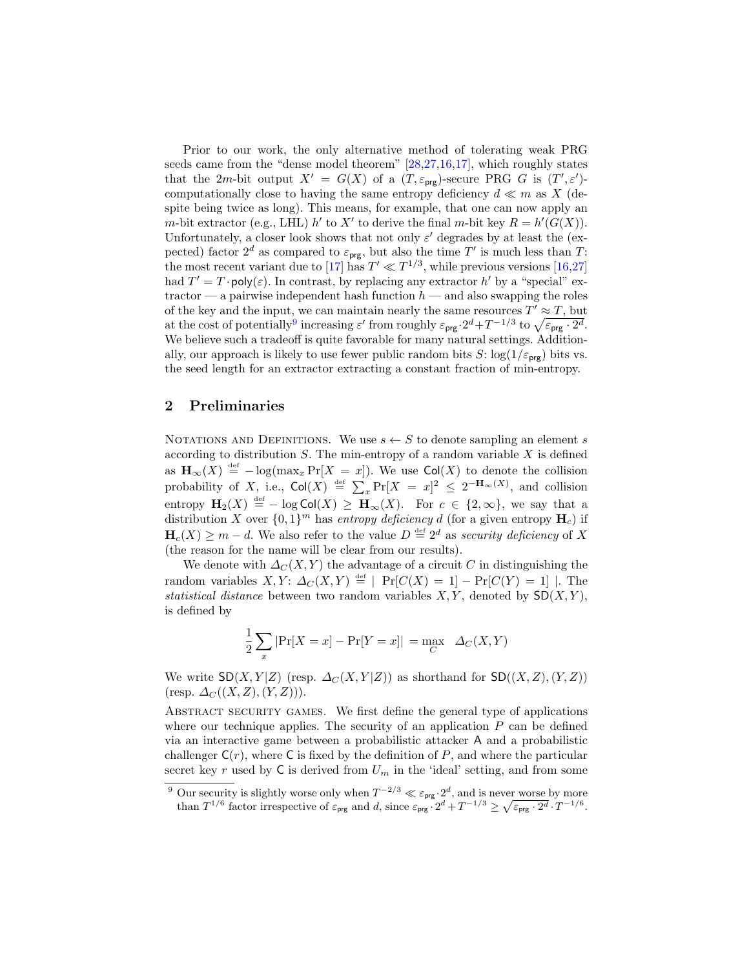Prior to our work, the only alternative method of tolerating weak PRG seeds came from the "dense model theorem" [\[28,](#page-21-5)[27,](#page-21-6)[16,](#page-21-7)[17\]](#page-21-8), which roughly states that the 2m-bit output  $X' = G(X)$  of a  $(T, \varepsilon_{\text{prg}})$ -secure PRG G is  $(T', \varepsilon')$ computationally close to having the same entropy deficiency  $d \ll m$  as X (despite being twice as long). This means, for example, that one can now apply an m-bit extractor (e.g., LHL) h' to X' to derive the final m-bit key  $R = h'(G(X))$ . Unfortunately, a closer look shows that not only  $\varepsilon'$  degrades by at least the (expected) factor  $2^d$  as compared to  $\varepsilon_{\text{prg}}$ , but also the time T' is much less than T: the most recent variant due to [\[17\]](#page-21-8) has  $T' \ll T^{1/3}$ , while previous versions [\[16,](#page-21-7)[27\]](#page-21-6) had  $T' = T \cdot \text{poly}(\varepsilon)$ . In contrast, by replacing any extractor h' by a "special" extractor — a pairwise independent hash function  $h$  — and also swapping the roles of the key and the input, we can maintain nearly the same resources  $T' \approx T$ , but at the cost of potentially<sup>[9](#page-3-0)</sup> increasing  $\varepsilon'$  from roughly  $\varepsilon_{\text{prg}} \cdot 2^d + T^{-1/3}$  to  $\sqrt{\varepsilon_{\text{prg}} \cdot 2^d}$ . We believe such a tradeoff is quite favorable for many natural settings. Additionally, our approach is likely to use fewer public random bits S:  $\log(1/\varepsilon_{\text{prg}})$  bits vs. the seed length for an extractor extracting a constant fraction of min-entropy.

# 2 Preliminaries

NOTATIONS AND DEFINITIONS. We use  $s \leftarrow S$  to denote sampling an element s according to distribution  $S$ . The min-entropy of a random variable  $X$  is defined as  $\mathbf{H}_{\infty}(X) \stackrel{\text{def}}{=} -\log(\max_{x} \Pr[X = x])$ . We use  $\mathsf{Col}(X)$  to denote the collision probability of X, i.e.,  $\text{Col}(X) \stackrel{\text{def}}{=} \sum_x \Pr[X = x]^2 \leq 2^{-H_{\infty}(X)}$ , and collision entropy  $\mathbf{H}_2(X) \stackrel{\text{def}}{=} -\log \text{Col}(X) \geq \mathbf{H}_{\infty}(X)$ . For  $c \in \{2, \infty\}$ , we say that a distribution X over  $\{0,1\}^m$  has entropy deficiency d (for a given entropy  $H_c$ ) if  $\mathbf{H}_c(X) \geq m - d$ . We also refer to the value  $D \stackrel{\text{def}}{=} 2^d$  as security deficiency of X (the reason for the name will be clear from our results).

We denote with  $\Delta_C(X, Y)$  the advantage of a circuit C in distinguishing the random variables  $X, Y: \Delta_C(X, Y) \stackrel{\text{def}}{=} |\Pr[C(X) = 1] - \Pr[C(Y) = 1]|$ . The statistical distance between two random variables  $X, Y$ , denoted by  $SD(X, Y)$ , is defined by

$$
\frac{1}{2}\sum_{x}|\Pr[X=x]-\Pr[Y=x]| = \max_{C} \Delta_C(X,Y)
$$

We write  $SD(X, Y|Z)$  (resp.  $\Delta_C(X, Y|Z)$ ) as shorthand for  $SD((X, Z), (Y, Z))$  $(\text{resp. } \Delta_C((X,Z),(Y,Z))).$ 

ABSTRACT SECURITY GAMES. We first define the general type of applications where our technique applies. The security of an application  $P$  can be defined via an interactive game between a probabilistic attacker A and a probabilistic challenger  $C(r)$ , where C is fixed by the definition of P, and where the particular secret key r used by  $C$  is derived from  $U_m$  in the 'ideal' setting, and from some

<span id="page-3-0"></span><sup>&</sup>lt;sup>9</sup> Our security is slightly worse only when  $T^{-2/3} \ll \varepsilon_{\text{prg}} \cdot 2^d$ , and is never worse by more than  $T^{1/6}$  factor irrespective of  $\varepsilon_{\text{prg}}$  and d, since  $\varepsilon_{\text{prg}} \cdot 2^d + T^{-1/3} \ge \sqrt{\varepsilon_{\text{prg}} \cdot 2^d} \cdot T^{-1/6}$ .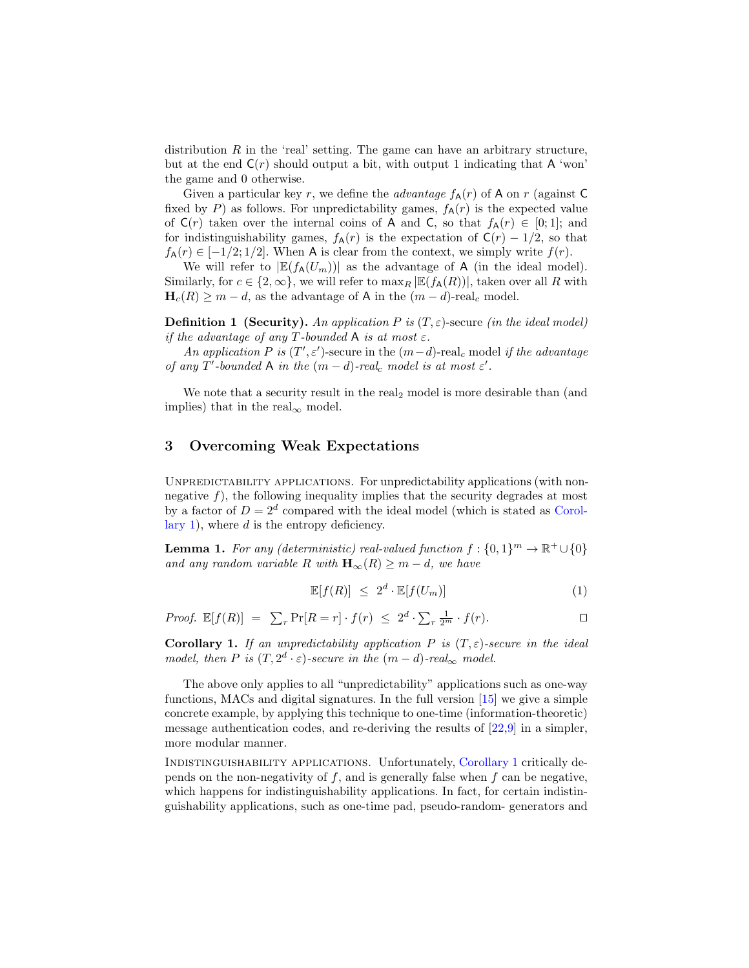distribution  $R$  in the 'real' setting. The game can have an arbitrary structure, but at the end  $C(r)$  should output a bit, with output 1 indicating that A 'won' the game and 0 otherwise.

Given a particular key r, we define the *advantage*  $f_{\mathsf{A}}(r)$  of A on r (against C fixed by P) as follows. For unpredictability games,  $f_{\mathsf{A}}(r)$  is the expected value of  $C(r)$  taken over the internal coins of A and C, so that  $f_A(r) \in [0,1]$ ; and for indistinguishability games,  $f_{\mathsf{A}}(r)$  is the expectation of  $\mathsf{C}(r) - 1/2$ , so that  $f_{\mathbf{A}}(r) \in [-1/2, 1/2]$ . When A is clear from the context, we simply write  $f(r)$ .

We will refer to  $|\mathbb{E}(f_{\mathsf{A}}(U_m))|$  as the advantage of A (in the ideal model). Similarly, for  $c \in \{2,\infty\}$ , we will refer to  $\max_R |\mathbb{E}(f_{\mathsf{A}}(R))|$ , taken over all R with  $\mathbf{H}_c(R) \geq m - d$ , as the advantage of A in the  $(m - d)$ -real<sub>c</sub> model.

**Definition 1 (Security).** An application P is  $(T, \varepsilon)$ -secure (in the ideal model) if the advantage of any T-bounded A is at most  $\varepsilon$ .

An application P is  $(T', \varepsilon')$ -secure in the  $(m-d)$ -real<sub>c</sub> model if the advantage of any T'-bounded A in the  $(m-d)$ -real<sub>c</sub> model is at most  $\varepsilon'$ .

We note that a security result in the real<sub>2</sub> model is more desirable than (and implies) that in the real<sub>∞</sub> model.

# <span id="page-4-2"></span>3 Overcoming Weak Expectations

Unpredictability applications. For unpredictability applications (with nonnegative  $f$ ), the following inequality implies that the security degrades at most by a factor of  $D = 2^d$  compared with the ideal model (which is stated as [Corol](#page-4-0)[lary 1\)](#page-4-0), where  $d$  is the entropy deficiency.

**Lemma 1.** For any (deterministic) real-valued function  $f: \{0,1\}^m \to \mathbb{R}^+ \cup \{0\}$ and any random variable R with  $\mathbf{H}_{\infty}(R) \geq m - d$ , we have

<span id="page-4-1"></span>
$$
\mathbb{E}[f(R)] \leq 2^d \cdot \mathbb{E}[f(U_m)] \tag{1}
$$

Proof.  $\mathbb{E}[f(R)] = \sum_r \Pr[R = r] \cdot f(r) \leq 2^d \cdot \sum_r \frac{1}{2^m} \cdot f(r)$ .

<span id="page-4-0"></span>**Corollary 1.** If an unpredictability application P is  $(T, \varepsilon)$ -secure in the ideal model, then P is  $(T, 2^d \cdot \varepsilon)$ -secure in the  $(m-d)$ -real<sub>∞</sub> model.

The above only applies to all "unpredictability" applications such as one-way functions, MACs and digital signatures. In the full version [\[15\]](#page-21-15) we give a simple concrete example, by applying this technique to one-time (information-theoretic) message authentication codes, and re-deriving the results of [\[22,](#page-21-10)[9\]](#page-20-8) in a simpler, more modular manner.

Indistinguishability applications. Unfortunately, [Corollary 1](#page-4-0) critically depends on the non-negativity of  $f$ , and is generally false when  $f$  can be negative, which happens for indistinguishability applications. In fact, for certain indistinguishability applications, such as one-time pad, pseudo-random- generators and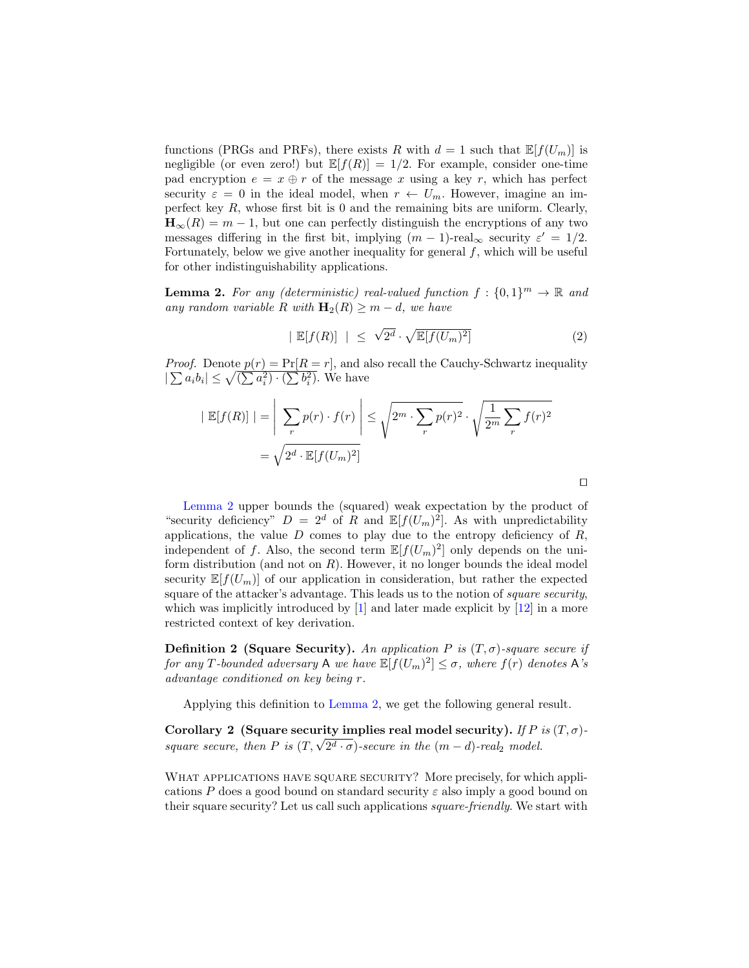functions (PRGs and PRFs), there exists R with  $d = 1$  such that  $\mathbb{E}[f(U_m)]$  is negligible (or even zero!) but  $\mathbb{E}[f(R)] = 1/2$ . For example, consider one-time pad encryption  $e = x \oplus r$  of the message x using a key r, which has perfect security  $\varepsilon = 0$  in the ideal model, when  $r \leftarrow U_m$ . However, imagine an imperfect key  $R$ , whose first bit is 0 and the remaining bits are uniform. Clearly,  $\mathbf{H}_{\infty}(R) = m - 1$ , but one can perfectly distinguish the encryptions of any two messages differing in the first bit, implying  $(m-1)$ -real<sub>∞</sub> security  $\varepsilon' = 1/2$ . Fortunately, below we give another inequality for general  $f$ , which will be useful for other indistinguishability applications.

<span id="page-5-0"></span>**Lemma 2.** For any (deterministic) real-valued function  $f: \{0,1\}^m \to \mathbb{R}$  and any random variable R with  $\mathbf{H}_2(R) \geq m - d$ , we have

$$
|\mathbb{E}[f(R)]| \leq \sqrt{2^d} \cdot \sqrt{\mathbb{E}[f(U_m)^2]}
$$
 (2)

 $\Box$ 

*Proof.* Denote  $p(r) = Pr[R = r]$ , and also recall the Cauchy-Schwartz inequality  $|\sum a_i b_i| \leq \sqrt{(\sum a_i^2) \cdot (\sum b_i^2)}$ . We have

$$
|\mathbb{E}[f(R)]| = \left| \sum_{r} p(r) \cdot f(r) \right| \leq \sqrt{2^m \cdot \sum_{r} p(r)^2} \cdot \sqrt{\frac{1}{2^m} \sum_{r} f(r)^2}
$$

$$
= \sqrt{2^d \cdot \mathbb{E}[f(U_m)^2]}
$$

[Lemma 2](#page-5-0) upper bounds the (squared) weak expectation by the product of "security deficiency"  $D = 2^d$  of R and  $\mathbb{E}[f(U_m)^2]$ . As with unpredictability applications, the value  $D$  comes to play due to the entropy deficiency of  $R$ , independent of f. Also, the second term  $\mathbb{E}[f(U_m)^2]$  only depends on the uniform distribution (and not on  $R$ ). However, it no longer bounds the ideal model security  $\mathbb{E}[f(U_m)]$  of our application in consideration, but rather the expected square of the attacker's advantage. This leads us to the notion of *square security*, which was implicitly introduced by  $[1]$  and later made explicit by  $[12]$  in a more restricted context of key derivation.

Definition 2 (Square Security). An application P is  $(T, \sigma)$ -square secure if for any T-bounded adversary A we have  $\mathbb{E}[f(U_m)^2] \leq \sigma$ , where  $f(r)$  denotes A's advantage conditioned on key being r.

Applying this definition to [Lemma 2,](#page-5-0) we get the following general result.

<span id="page-5-1"></span>Corollary 2 (Square security implies real model security). If P is  $(T, \sigma)$ -Corollary 2 (Square security implies real model security). If P square secure, then P is  $(T, \sqrt{2^d \cdot \sigma})$ -secure in the  $(m-d)$ -real<sub>2</sub> model.

WHAT APPLICATIONS HAVE SQUARE SECURITY? More precisely, for which applications P does a good bound on standard security  $\varepsilon$  also imply a good bound on their square security? Let us call such applications square-friendly. We start with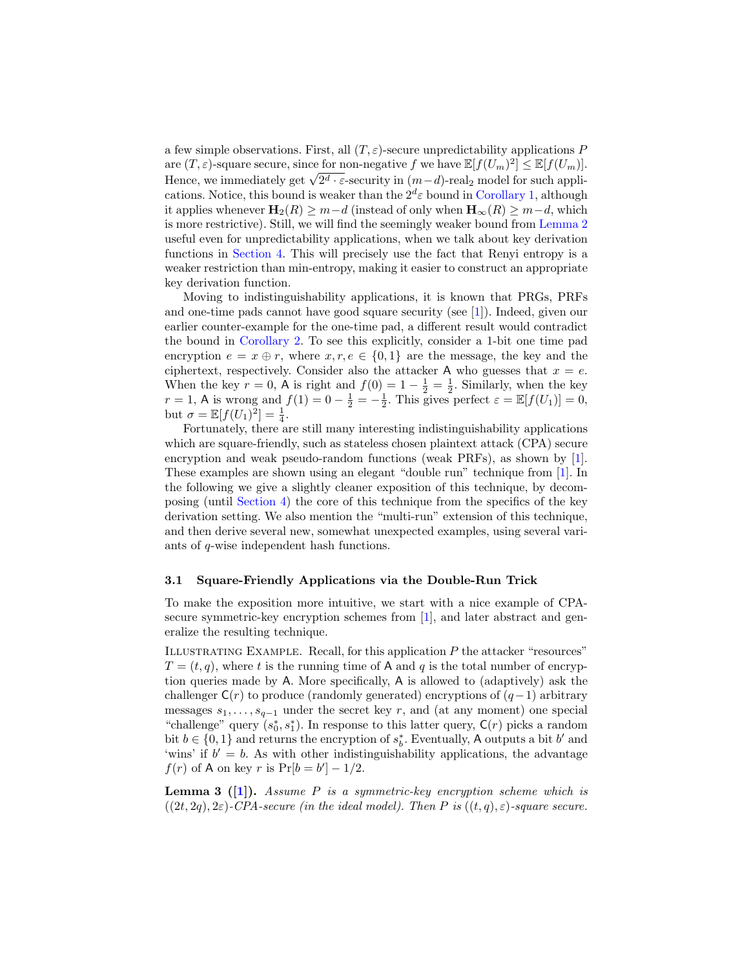a few simple observations. First, all  $(T, \varepsilon)$ -secure unpredictability applications P are  $(T, \varepsilon)$ -square secure, since for non-negative f we have  $\mathbb{E}[f(U_m)^2] \leq \mathbb{E}[f(U_m)]$ . are  $(1, \varepsilon)$ -square secure, since for non-negative f we have  $\mathbb{E}[J(U_m)^{-1}] \leq \mathbb{E}[J(U_m)]$ .<br>Hence, we immediately get  $\sqrt{2^d \cdot \varepsilon}$ -security in  $(m-d)$ -real<sub>2</sub> model for such applications. Notice, this bound is weaker than the  $2^d\varepsilon$  bound in [Corollary 1,](#page-4-0) although it applies whenever  $\mathbf{H}_2(R) \geq m-d$  (instead of only when  $\mathbf{H}_{\infty}(R) \geq m-d$ , which is more restrictive). Still, we will find the seemingly weaker bound from [Lemma 2](#page-5-0) useful even for unpredictability applications, when we talk about key derivation functions in [Section 4.](#page-13-0) This will precisely use the fact that Renyi entropy is a weaker restriction than min-entropy, making it easier to construct an appropriate key derivation function.

Moving to indistinguishability applications, it is known that PRGs, PRFs and one-time pads cannot have good square security (see [\[1\]](#page-20-7)). Indeed, given our earlier counter-example for the one-time pad, a different result would contradict the bound in [Corollary 2.](#page-5-1) To see this explicitly, consider a 1-bit one time pad encryption  $e = x \oplus r$ , where  $x, r, e \in \{0, 1\}$  are the message, the key and the ciphertext, respectively. Consider also the attacker A who guesses that  $x = e$ . When the key  $r = 0$ , A is right and  $f(0) = 1 - \frac{1}{2} = \frac{1}{2}$ . Similarly, when the key  $r = 1$ , A is wrong and  $f(1) = 0 - \frac{1}{2} = -\frac{1}{2}$ . This gives perfect  $\varepsilon = \mathbb{E}[f(U_1)] = 0$ , but  $\sigma = \mathbb{E}[f(U_1)^2] = \frac{1}{4}$ .

Fortunately, there are still many interesting indistinguishability applications which are square-friendly, such as stateless chosen plaintext attack (CPA) secure encryption and weak pseudo-random functions (weak PRFs), as shown by [\[1\]](#page-20-7). These examples are shown using an elegant "double run" technique from [\[1\]](#page-20-7). In the following we give a slightly cleaner exposition of this technique, by decomposing (until [Section 4\)](#page-13-0) the core of this technique from the specifics of the key derivation setting. We also mention the "multi-run" extension of this technique, and then derive several new, somewhat unexpected examples, using several variants of q-wise independent hash functions.

### 3.1 Square-Friendly Applications via the Double-Run Trick

To make the exposition more intuitive, we start with a nice example of CPA-secure symmetric-key encryption schemes from [\[1\]](#page-20-7), and later abstract and generalize the resulting technique.

ILLUSTRATING EXAMPLE. Recall, for this application  $P$  the attacker "resources"  $T = (t, q)$ , where t is the running time of A and q is the total number of encryption queries made by A. More specifically, A is allowed to (adaptively) ask the challenger  $C(r)$  to produce (randomly generated) encryptions of  $(q-1)$  arbitrary messages  $s_1, \ldots, s_{q-1}$  under the secret key r, and (at any moment) one special "challenge" query  $(s_0^*, s_1^*)$ . In response to this latter query,  $\mathsf{C}(r)$  picks a random bit  $b \in \{0, 1\}$  and returns the encryption of  $s_b^*$ . Eventually, A outputs a bit  $b'$  and 'wins' if  $b' = b$ . As with other indistinguishability applications, the advantage  $f(r)$  of A on key r is  $Pr[b = b'] - 1/2$ .

<span id="page-6-0"></span>**Lemma 3** ([\[1\]](#page-20-7)). Assume P is a symmetric-key encryption scheme which is  $((2t, 2q), 2\varepsilon)$ -CPA-secure (in the ideal model). Then P is  $((t, q), \varepsilon)$ -square secure.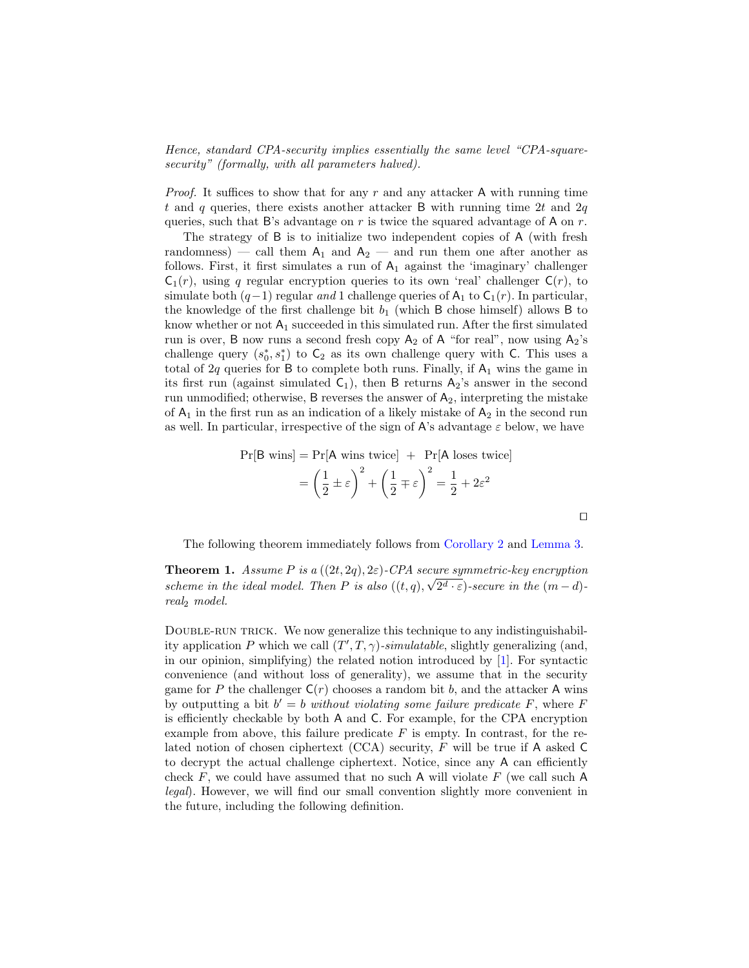Hence, standard CPA-security implies essentially the same level "CPA-squaresecurity" (formally, with all parameters halved).

*Proof.* It suffices to show that for any  $r$  and any attacker A with running time t and q queries, there exists another attacker B with running time 2t and 2q queries, such that B's advantage on r is twice the squared advantage of A on  $r$ .

The strategy of B is to initialize two independent copies of A (with fresh randomness) — call them  $A_1$  and  $A_2$  — and run them one after another as follows. First, it first simulates a run of  $A_1$  against the 'imaginary' challenger  $C_1(r)$ , using q regular encryption queries to its own 'real' challenger  $C(r)$ , to simulate both  $(q-1)$  regular and 1 challenge queries of A<sub>1</sub> to C<sub>1</sub>(r). In particular, the knowledge of the first challenge bit  $b_1$  (which B chose himself) allows B to know whether or not  $A_1$  succeeded in this simulated run. After the first simulated run is over, B now runs a second fresh copy  $A_2$  of A "for real", now using  $A_2$ 's challenge query  $(s_0^*, s_1^*)$  to  $C_2$  as its own challenge query with C. This uses a total of 2q queries for B to complete both runs. Finally, if  $A_1$  wins the game in its first run (against simulated  $C_1$ ), then B returns  $A_2$ 's answer in the second run unmodified; otherwise, B reverses the answer of  $A_2$ , interpreting the mistake of  $A_1$  in the first run as an indication of a likely mistake of  $A_2$  in the second run as well. In particular, irrespective of the sign of A's advantage  $\varepsilon$  below, we have

$$
\Pr[\text{B wins}] = \Pr[\text{A wins twice}] + \Pr[\text{A loses twice}]
$$

$$
= \left(\frac{1}{2} \pm \varepsilon\right)^2 + \left(\frac{1}{2} \mp \varepsilon\right)^2 = \frac{1}{2} + 2\varepsilon^2
$$

<span id="page-7-0"></span> $\Box$ 

The following theorem immediately follows from [Corollary 2](#page-5-1) and [Lemma 3.](#page-6-0)

**Theorem 1.** Assume P is a  $((2t, 2q), 2\varepsilon)$ -CPA secure symmetric-key encryption scheme in the ideal model. Then P is also  $((t,q), \sqrt{2^d \cdot \varepsilon})$ -secure in the  $(m-d)$ real<sup>2</sup> model.

DOUBLE-RUN TRICK. We now generalize this technique to any indistinguishability application P which we call  $(T', T, \gamma)$ -simulatable, slightly generalizing (and, in our opinion, simplifying) the related notion introduced by  $[1]$ . For syntactic convenience (and without loss of generality), we assume that in the security game for P the challenger  $C(r)$  chooses a random bit b, and the attacker A wins by outputting a bit  $b' = b$  without violating some failure predicate F, where F is efficiently checkable by both A and C. For example, for the CPA encryption example from above, this failure predicate  $F$  is empty. In contrast, for the related notion of chosen ciphertext (CCA) security, F will be true if A asked C to decrypt the actual challenge ciphertext. Notice, since any A can efficiently check F, we could have assumed that no such A will violate  $F$  (we call such A legal). However, we will find our small convention slightly more convenient in the future, including the following definition.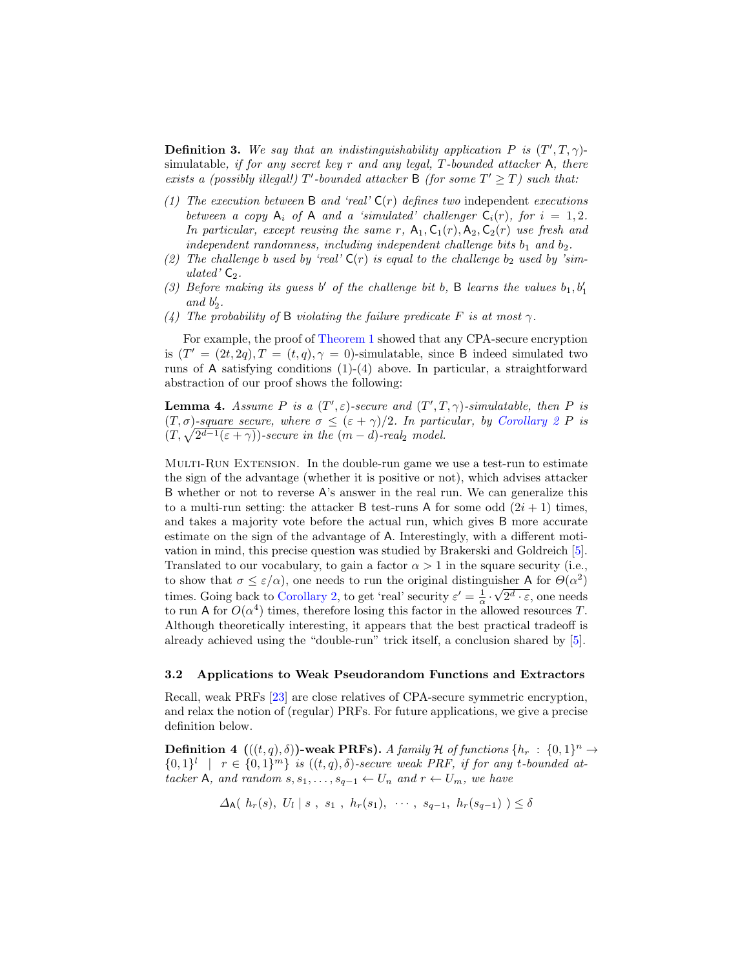**Definition 3.** We say that an indistinguishability application P is  $(T', T, \gamma)$ simulatable, if for any secret key r and any legal,  $T$ -bounded attacker A, there exists a (possibly illegal!) T'-bounded attacker B (for some  $T' \geq T$ ) such that:

- (1) The execution between  $\mathsf B$  and 'real'  $\mathsf C(r)$  defines two independent executions between a copy  $A_i$  of A and a 'simulated' challenger  $C_i(r)$ , for  $i = 1, 2$ . In particular, except reusing the same r,  $A_1, C_1(r), A_2, C_2(r)$  use fresh and independent randomness, including independent challenge bits  $b_1$  and  $b_2$ .
- (2) The challenge b used by 'real'  $C(r)$  is equal to the challenge  $b_2$  used by 'simulated'  $C_2$ .
- (3) Before making its guess  $b'$  of the challenge bit b, B learns the values  $b_1, b'_1$ and  $b'_2$ .
- (4) The probability of B violating the failure predicate F is at most  $\gamma$ .

For example, the proof of [Theorem 1](#page-7-0) showed that any CPA-secure encryption is  $(T' = (2t, 2q), T = (t, q), \gamma = 0)$ -simulatable, since B indeed simulated two runs of A satisfying conditions (1)-(4) above. In particular, a straightforward abstraction of our proof shows the following:

<span id="page-8-0"></span>**Lemma 4.** Assume P is a  $(T', \varepsilon)$ -secure and  $(T', T, \gamma)$ -simulatable, then P is  $(T, \sigma)$ -square secure, where  $\sigma \leq (\varepsilon + \gamma)/2$ . In particular, by [Corollary 2](#page-5-1) P is  $(T, \sqrt{2^{d-1}(\varepsilon + \gamma)})$ -secure in the  $(m-d)$ -real<sub>2</sub> model.

Multi-Run Extension. In the double-run game we use a test-run to estimate the sign of the advantage (whether it is positive or not), which advises attacker B whether or not to reverse A's answer in the real run. We can generalize this to a multi-run setting: the attacker B test-runs A for some odd  $(2i + 1)$  times, and takes a majority vote before the actual run, which gives B more accurate estimate on the sign of the advantage of A. Interestingly, with a different motivation in mind, this precise question was studied by Brakerski and Goldreich [\[5\]](#page-20-10). Translated to our vocabulary, to gain a factor  $\alpha > 1$  in the square security (i.e., to show that  $\sigma \leq \varepsilon/\alpha$ , one needs to run the original distinguisher A for  $\Theta(\alpha^2)$ times. Going back to [Corollary 2,](#page-5-1) to get 'real' security  $\varepsilon' = \frac{1}{\alpha} \cdot \sqrt{2^d \cdot \varepsilon}$ , one needs to run A for  $O(\alpha^4)$  times, therefore losing this factor in the allowed resources T. Although theoretically interesting, it appears that the best practical tradeoff is already achieved using the "double-run" trick itself, a conclusion shared by [\[5\]](#page-20-10).

#### <span id="page-8-1"></span>3.2 Applications to Weak Pseudorandom Functions and Extractors

Recall, weak PRFs [\[23\]](#page-21-16) are close relatives of CPA-secure symmetric encryption, and relax the notion of (regular) PRFs. For future applications, we give a precise definition below.

**Definition 4**  $(((t,q),\delta))$ -weak PRFs). A family H of functions  $\{h_r : \{0,1\}^n \to$  $\{0,1\}^l$  |  $r \in \{0,1\}^m$  is  $((t,q),\delta)$ -secure weak PRF, if for any t-bounded attacker A, and random  $s, s_1, \ldots, s_{q-1} \leftarrow U_n$  and  $r \leftarrow U_m$ , we have

 $\Delta_{\mathsf{A}}(h_r(s), U_l \mid s, s_1, h_r(s_1), \cdots, s_{q-1}, h_r(s_{q-1}) ) \leq \delta$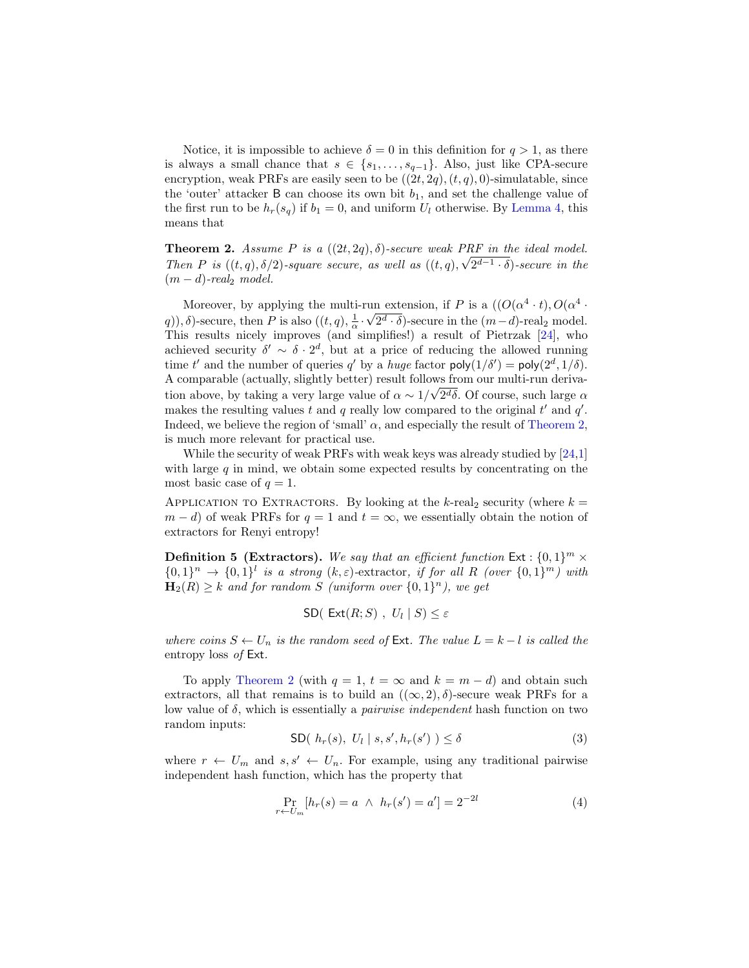Notice, it is impossible to achieve  $\delta = 0$  in this definition for  $q > 1$ , as there is always a small chance that  $s \in \{s_1, \ldots, s_{q-1}\}.$  Also, just like CPA-secure encryption, weak PRFs are easily seen to be  $((2t, 2q), (t, q), 0)$ -simulatable, since the 'outer' attacker  $B$  can choose its own bit  $b_1$ , and set the challenge value of the first run to be  $h_r(s_q)$  if  $b_1 = 0$ , and uniform  $U_l$  otherwise. By [Lemma 4,](#page-8-0) this means that

<span id="page-9-0"></span>**Theorem 2.** Assume P is a  $((2t, 2q), \delta)$ -secure weak PRF in the ideal model. Then P is  $((t, q), \delta/2)$ -square secure, as well as  $((t, q), \sqrt{2^{d-1}} \cdot \delta)$ -secure in the  $(m - d)$ -real<sub>2</sub> model.

Moreover, by applying the multi-run extension, if P is a  $((O(\alpha^4 \cdot t), O(\alpha^4 \cdot t)))$ q),  $\delta$ )-secure, then P is also  $((t, q), \frac{1}{\alpha} \cdot \sqrt{2^d \cdot \delta})$ -secure in the  $(m-d)$ -real<sub>2</sub> model. This results nicely improves (and simplifies!) a result of Pietrzak [\[24\]](#page-21-4), who achieved security  $\delta' \sim \delta \cdot 2^d$ , but at a price of reducing the allowed running time t' and the number of queries q' by a huge factor  $\text{poly}(1/\delta') = \text{poly}(2^d, 1/\delta)$ . A comparable (actually, slightly better) result follows from our multi-run deriva-√ tion above, by taking a very large value of  $\alpha \sim 1/\sqrt{2d\delta}$ . Of course, such large  $\alpha$ makes the resulting values t and q really low compared to the original  $t'$  and  $q'$ . Indeed, we believe the region of 'small'  $\alpha$ , and especially the result of [Theorem 2,](#page-9-0) is much more relevant for practical use.

While the security of weak PRFs with weak keys was already studied by [\[24,](#page-21-4)[1\]](#page-20-7) with large  $q$  in mind, we obtain some expected results by concentrating on the most basic case of  $q = 1$ .

APPLICATION TO EXTRACTORS. By looking at the k-real<sub>2</sub> security (where  $k =$  $m - d$ ) of weak PRFs for  $q = 1$  and  $t = \infty$ , we essentially obtain the notion of extractors for Renyi entropy!

**Definition 5 (Extractors).** We say that an efficient function  $Ext : \{0,1\}^m \times$  $\{0,1\}^n \rightarrow \{0,1\}^l$  is a strong  $(k,\varepsilon)$ -extractor, if for all R (over  $\{0,1\}^m$ ) with  $\mathbf{H}_2(R) \geq k$  and for random S (uniform over  $\{0,1\}^n$ ), we get

$$
\mathsf{SD}(\ \mathsf{Ext}(R;S)\ ,\ U_l\mid S)\leq \varepsilon
$$

where coins  $S \leftarrow U_n$  is the random seed of Ext. The value  $L = k - l$  is called the entropy loss of Ext.

To apply [Theorem 2](#page-9-0) (with  $q = 1$ ,  $t = \infty$  and  $k = m - d$ ) and obtain such extractors, all that remains is to build an  $((\infty, 2), \delta)$ -secure weak PRFs for a low value of  $\delta$ , which is essentially a *pairwise independent* hash function on two random inputs:

$$
\text{SD}(h_r(s), U_l \mid s, s', h_r(s')) \le \delta \tag{3}
$$

where  $r \leftarrow U_m$  and  $s, s' \leftarrow U_n$ . For example, using any traditional pairwise independent hash function, which has the property that

<span id="page-9-1"></span>
$$
\Pr_{r \leftarrow U_m} [h_r(s) = a \ \land \ h_r(s') = a'] = 2^{-2l} \tag{4}
$$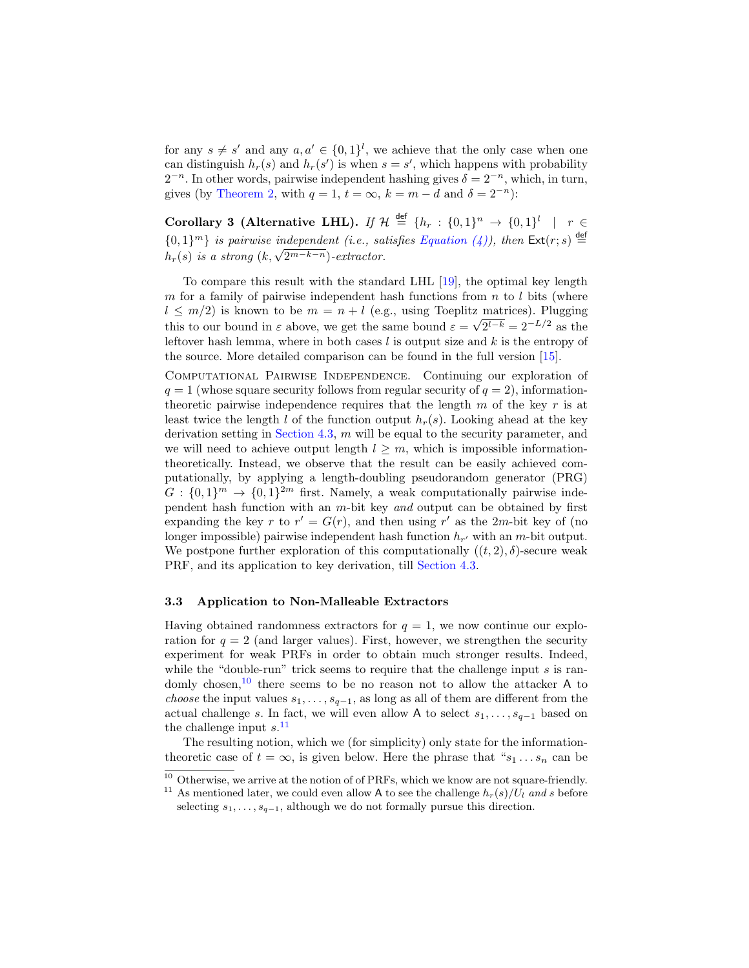for any  $s \neq s'$  and any  $a, a' \in \{0, 1\}^l$ , we achieve that the only case when one can distinguish  $h_r(s)$  and  $h_r(s')$  is when  $s = s'$ , which happens with probability  $2^{-n}$ . In other words, pairwise independent hashing gives  $\delta = 2^{-n}$ , which, in turn, gives (by [Theorem 2,](#page-9-0) with  $q = 1$ ,  $t = \infty$ ,  $k = m - d$  and  $\delta = 2^{-n}$ ):

Corollary 3 (Alternative LHL). If  $\mathcal{H} \stackrel{\text{def}}{=} \{h_r : \{0,1\}^n \to \{0,1\}^l \mid r \in$  $\{0,1\}^m\}$  is pairwise independent (i.e., satisfies [Equation \(4\)\)](#page-9-1), then  $\mathsf{Ext}(r;s) \stackrel{\mathsf{def}}{=}$  $\{0,1\}^n$  is parrwise independent (i.e., sa<br> $h_r(s)$  is a strong  $(k, \sqrt{2^{m-k-n}})$ -extractor.

To compare this result with the standard LHL [\[19\]](#page-21-9), the optimal key length m for a family of pairwise independent hash functions from  $n$  to l bits (where  $l \leq m/2$ ) is known to be  $m = n + l$  (e.g., using Toeplitz matrices). Plugging this to our bound in  $\varepsilon$  above, we get the same bound  $\varepsilon = \sqrt{2^{l-k}} = 2^{-L/2}$  as the leftover hash lemma, where in both cases  $l$  is output size and  $k$  is the entropy of the source. More detailed comparison can be found in the full version [\[15\]](#page-21-15).

Computational Pairwise Independence. Continuing our exploration of  $q = 1$  (whose square security follows from regular security of  $q = 2$ ), informationtheoretic pairwise independence requires that the length  $m$  of the key  $r$  is at least twice the length l of the function output  $h_r(s)$ . Looking ahead at the key derivation setting in [Section 4.3,](#page-17-0) m will be equal to the security parameter, and we will need to achieve output length  $l > m$ , which is impossible informationtheoretically. Instead, we observe that the result can be easily achieved computationally, by applying a length-doubling pseudorandom generator (PRG)  $G: \{0,1\}^m \to \{0,1\}^{2m}$  first. Namely, a weak computationally pairwise independent hash function with an  $m$ -bit key and output can be obtained by first expanding the key r to  $r' = G(r)$ , and then using r' as the 2m-bit key of (no longer impossible) pairwise independent hash function  $h_{r'}$  with an m-bit output. We postpone further exploration of this computationally  $((t, 2), \delta)$ -secure weak PRF, and its application to key derivation, till [Section 4.3.](#page-17-0)

#### 3.3 Application to Non-Malleable Extractors

Having obtained randomness extractors for  $q = 1$ , we now continue our exploration for  $q = 2$  (and larger values). First, however, we strengthen the security experiment for weak PRFs in order to obtain much stronger results. Indeed, while the "double-run" trick seems to require that the challenge input  $s$  is randomly chosen,  $10$  there seems to be no reason not to allow the attacker A to *choose* the input values  $s_1, \ldots, s_{q-1}$ , as long as all of them are different from the actual challenge s. In fact, we will even allow A to select  $s_1, \ldots, s_{q-1}$  based on the challenge input  $s$ <sup>[11](#page-10-1)</sup>

The resulting notion, which we (for simplicity) only state for the informationtheoretic case of  $t = \infty$ , is given below. Here the phrase that " $s_1 \dots s_n$  can be

<span id="page-10-0"></span><sup>&</sup>lt;sup>10</sup> Otherwise, we arrive at the notion of of PRFs, which we know are not square-friendly.

<span id="page-10-1"></span><sup>&</sup>lt;sup>11</sup> As mentioned later, we could even allow A to see the challenge  $h_r(s)/U_l$  and s before selecting  $s_1, \ldots, s_{q-1}$ , although we do not formally pursue this direction.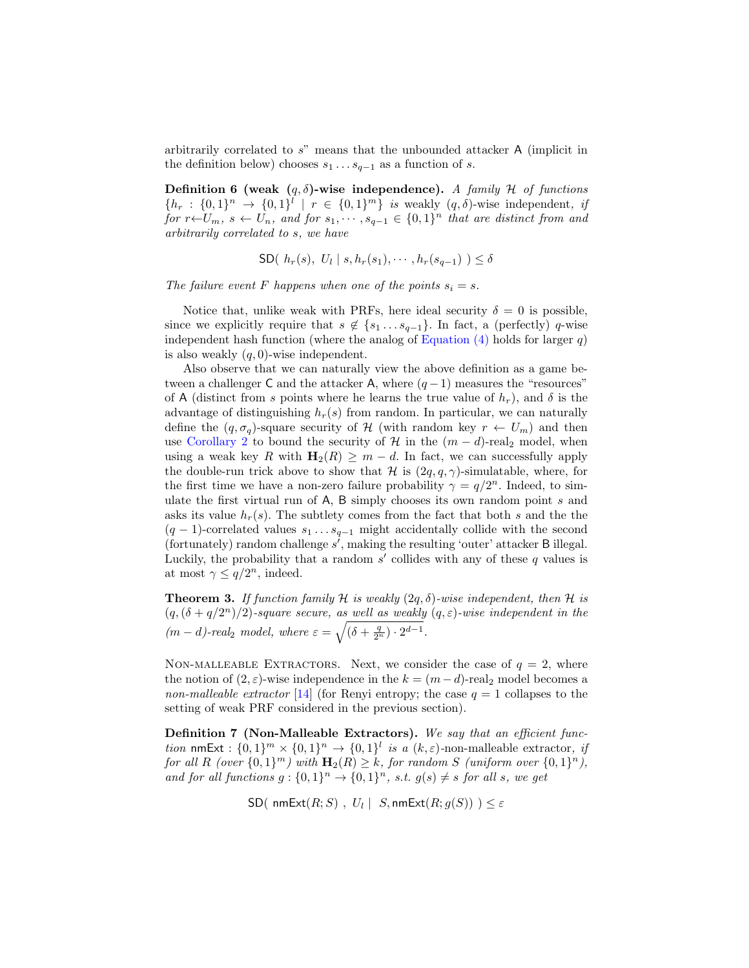arbitrarily correlated to s" means that the unbounded attacker A (implicit in the definition below) chooses  $s_1 \dots s_{q-1}$  as a function of s.

**Definition 6 (weak**  $(q, \delta)$ **-wise independence).** A family H of functions  $\{h_r: \{0,1\}^n \to \{0,1\}^l \mid r \in \{0,1\}^m\}$  is weakly  $(q, \delta)$ -wise independent, if for  $r \leftarrow U_m$ ,  $s \leftarrow U_n$ , and for  $s_1, \dots, s_{q-1} \in \{0,1\}^n$  that are distinct from and arbitrarily correlated to s, we have

$$
SD(h_r(s), U_l | s, h_r(s_1), \cdots, h_r(s_{q-1})) \leq \delta
$$

The failure event F happens when one of the points  $s_i = s$ .

Notice that, unlike weak with PRFs, here ideal security  $\delta = 0$  is possible, since we explicitly require that  $s \notin \{s_1 \ldots s_{q-1}\}\.$  In fact, a (perfectly) q-wise independent hash function (where the analog of Equation  $(4)$  holds for larger q) is also weakly  $(q, 0)$ -wise independent.

Also observe that we can naturally view the above definition as a game between a challenger C and the attacker A, where  $(q-1)$  measures the "resources" of A (distinct from s points where he learns the true value of  $h_r$ ), and  $\delta$  is the advantage of distinguishing  $h_r(s)$  from random. In particular, we can naturally define the  $(q, \sigma_q)$ -square security of H (with random key  $r \leftarrow U_m$ ) and then use [Corollary 2](#page-5-1) to bound the security of H in the  $(m-d)$ -real<sub>2</sub> model, when using a weak key R with  $\mathbf{H}_2(R) \geq m - d$ . In fact, we can successfully apply the double-run trick above to show that H is  $(2q, q, \gamma)$ -simulatable, where, for the first time we have a non-zero failure probability  $\gamma = q/2^n$ . Indeed, to simulate the first virtual run of A, B simply chooses its own random point s and asks its value  $h_r(s)$ . The subtlety comes from the fact that both s and the the  $(q-1)$ -correlated values  $s_1 \ldots s_{q-1}$  might accidentally collide with the second (fortunately) random challenge  $s^j$ , making the resulting 'outer' attacker B illegal. Luckily, the probability that a random  $s'$  collides with any of these  $q$  values is at most  $\gamma \leq q/2^n$ , indeed.

<span id="page-11-0"></span>**Theorem 3.** If function family H is weakly  $(2q, \delta)$ -wise independent, then H is  $(q, (\delta + q/2^n)/2)$ -square secure, as well as weakly  $(q, \varepsilon)$ -wise independent in the  $(m-d)$ -real<sub>2</sub> model, where  $\varepsilon = \sqrt{(\delta + \frac{q}{2^n}) \cdot 2^{d-1}}$ .

NON-MALLEABLE EXTRACTORS. Next, we consider the case of  $q = 2$ , where the notion of  $(2, \varepsilon)$ -wise independence in the  $k = (m - d)$ -real<sub>2</sub> model becomes a non-malleable extractor [\[14\]](#page-21-2) (for Renyi entropy; the case  $q = 1$  collapses to the setting of weak PRF considered in the previous section).

Definition 7 (Non-Malleable Extractors). We say that an efficient function nmExt :  $\{0,1\}^m \times \{0,1\}^n \to \{0,1\}^l$  is a  $(k,\varepsilon)$ -non-malleable extractor, if for all R (over  $\{0,1\}^m$ ) with  $\mathbf{H}_2(R) \geq k$ , for random S (uniform over  $\{0,1\}^n$ ), and for all functions  $g: \{0,1\}^n \to \{0,1\}^n$ , s.t.  $g(s) \neq s$  for all s, we get

 $\mathsf{SD}(\,\, \mathsf{nmExt}(R;S)\,\, , \,\, U_l \mid \,\, S, \mathsf{nmExt}(R;g(S)) \,\, ) \leq \varepsilon$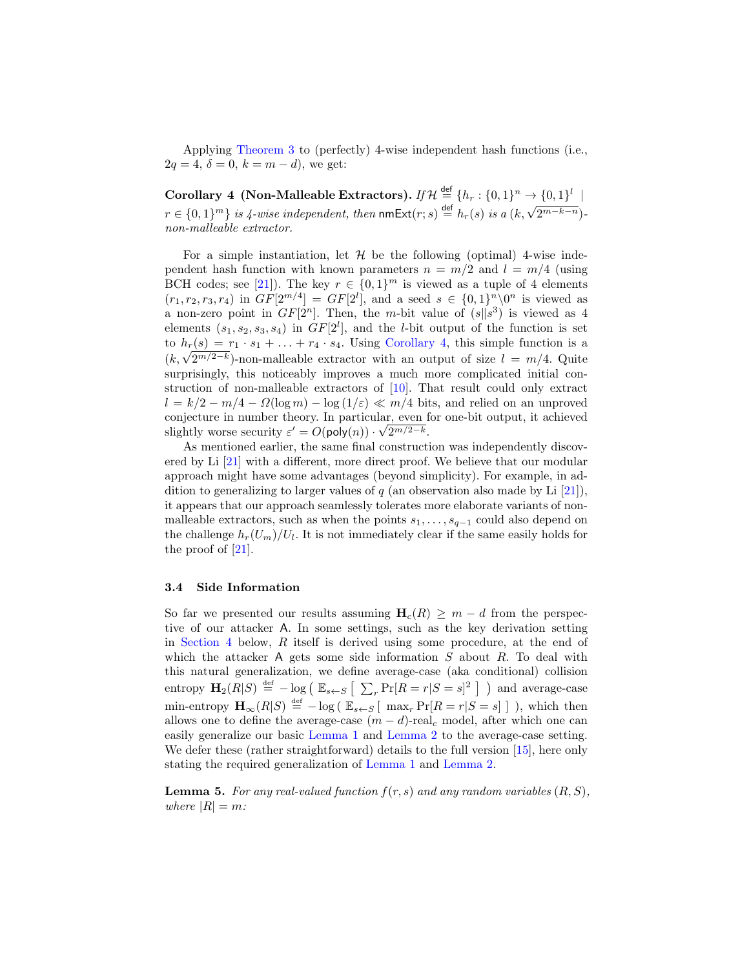Applying [Theorem 3](#page-11-0) to (perfectly) 4-wise independent hash functions (i.e.,  $2q = 4, \delta = 0, k = m - d$ , we get:

<span id="page-12-0"></span>Corollary 4 (Non-Malleable Extractors). If  $\mathcal{H} \stackrel{\mathsf{def}}{=} \{h_r : \{0,1\}^n \to \{0,1\}^l \,\mid\,$ coronary  $\exists$  (iven-ivaluation is the numerical strategy of  $r \in \{0,1\}^m$ ) is  $4$ -wise independent, then numeric(r; s)  $\stackrel{\text{def}}{=} h_r(s)$  is a  $(k, \sqrt{2^{m-k-n}})$ . non-malleable extractor.

For a simple instantiation, let  $\mathcal H$  be the following (optimal) 4-wise independent hash function with known parameters  $n = m/2$  and  $l = m/4$  (using BCH codes; see [\[21\]](#page-21-3)). The key  $r \in \{0,1\}^m$  is viewed as a tuple of 4 elements  $(r_1, r_2, r_3, r_4)$  in  $GF[2^{m/4}] = GF[2^l]$ , and a seed  $s \in \{0, 1\}^n \setminus 0^n$  is viewed as a non-zero point in  $GF[2^n]$ . Then, the m-bit value of  $(s||s^3)$  is viewed as 4 elements  $(s_1, s_2, s_3, s_4)$  in  $GF[2^l]$ , and the *l*-bit output of the function is set to  $h_r(s) = r_1 \cdot s_1 + \ldots + r_4 \cdot s_4$ . Using [Corollary 4,](#page-12-0) this simple function is a  $(h_r(s) = r_1 \cdot s_1 + \ldots + r_4 \cdot s_4$ . Using Coronary 4, this simple function is a  $(k, \sqrt{2^{m/2-k}})$ -non-malleable extractor with an output of size  $l = m/4$ . Quite surprisingly, this noticeably improves a much more complicated initial construction of non-malleable extractors of [\[10\]](#page-20-4). That result could only extract  $l = k/2 - m/4 - \Omega(\log m) - \log(1/\varepsilon) \ll m/4$  bits, and relied on an unproved conjecture in number theory. In particular, even for one-bit output, it achieved slightly worse security  $\varepsilon' = O(\text{poly}(n)) \cdot \sqrt{2^{m/2-k}}$ .

As mentioned earlier, the same final construction was independently discovered by Li [\[21\]](#page-21-3) with a different, more direct proof. We believe that our modular approach might have some advantages (beyond simplicity). For example, in addition to generalizing to larger values of  $q$  (an observation also made by Li  $[21]$ ), it appears that our approach seamlessly tolerates more elaborate variants of nonmalleable extractors, such as when the points  $s_1, \ldots, s_{q-1}$  could also depend on the challenge  $h_r(U_m)/U_l$ . It is not immediately clear if the same easily holds for the proof of [\[21\]](#page-21-3).

#### <span id="page-12-1"></span>3.4 Side Information

So far we presented our results assuming  $H_c(R) \geq m - d$  from the perspective of our attacker A. In some settings, such as the key derivation setting in [Section 4](#page-13-0) below, R itself is derived using some procedure, at the end of which the attacker A gets some side information  $S$  about  $R$ . To deal with this natural generalization, we define average-case (aka conditional) collision entropy  $\mathbf{H}_2(R|S) \stackrel{\text{def}}{=} -\log \left( \mathbb{E}_{s \leftarrow S} \left[ \sum_r \Pr[R = r | S = s]^2 \right] \right)$  and average-case min-entropy  $\mathbf{H}_{\infty}(R|S) \stackrel{\text{def}}{=} -\log(|\mathbb{E}_{s\leftarrow S}| \max_{r} \Pr[R=r|S=s]|)$ , which then allows one to define the average-case  $(m - d)$ -real<sub>c</sub> model, after which one can easily generalize our basic [Lemma 1](#page-4-1) and [Lemma 2](#page-5-0) to the average-case setting. We defer these (rather straightforward) details to the full version [\[15\]](#page-21-15), here only stating the required generalization of [Lemma 1](#page-4-1) and [Lemma 2.](#page-5-0)

<span id="page-12-2"></span>**Lemma 5.** For any real-valued function  $f(r, s)$  and any random variables  $(R, S)$ , where  $|R| = m$ :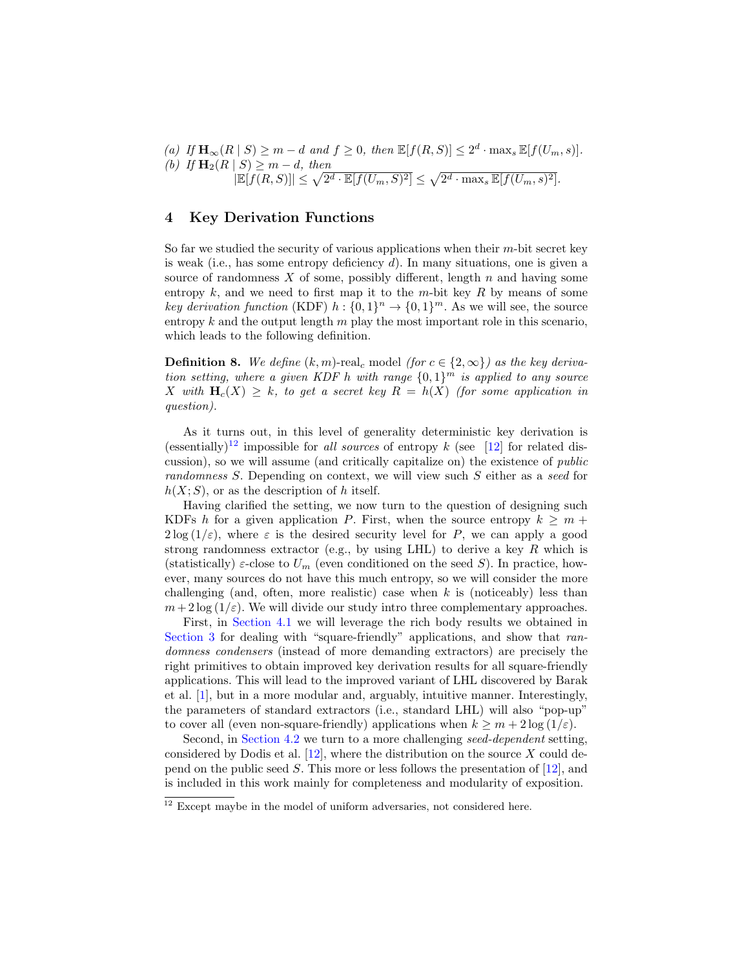(a) If 
$$
\mathbf{H}_{\infty}(R | S) \ge m - d
$$
 and  $f \ge 0$ , then  $\mathbb{E}[f(R, S)] \le 2^d \cdot \max_s \mathbb{E}[f(U_m, s)].$   
\n(b) If  $\mathbf{H}_2(R | S) \ge m - d$ , then  $|\mathbb{E}[f(R, S)]| \le \sqrt{2^d \cdot \mathbb{E}[f(U_m, S)^2]} \le \sqrt{2^d \cdot \max_s \mathbb{E}[f(U_m, s)^2]}.$ 

# <span id="page-13-0"></span>4 Key Derivation Functions

So far we studied the security of various applications when their m-bit secret key is weak (i.e., has some entropy deficiency d). In many situations, one is given a source of randomness  $X$  of some, possibly different, length  $n$  and having some entropy k, and we need to first map it to the m-bit key R by means of some key derivation function (KDF)  $h: \{0,1\}^n \to \{0,1\}^m$ . As we will see, the source entropy  $k$  and the output length  $m$  play the most important role in this scenario, which leads to the following definition.

**Definition 8.** We define  $(k, m)$ -real<sub>c</sub> model (for  $c \in \{2, \infty\}$ ) as the key derivation setting, where a given KDF h with range  $\{0,1\}^m$  is applied to any source X with  $H_c(X) > k$ , to get a secret key  $R = h(X)$  (for some application in question).

As it turns out, in this level of generality deterministic key derivation is (essentially)<sup>[12](#page-13-1)</sup> impossible for all sources of entropy k (see [\[12\]](#page-20-6) for related discussion), so we will assume (and critically capitalize on) the existence of public randomness S. Depending on context, we will view such S either as a seed for  $h(X; S)$ , or as the description of h itself.

Having clarified the setting, we now turn to the question of designing such KDFs h for a given application P. First, when the source entropy  $k \geq m +$  $2\log(1/\varepsilon)$ , where  $\varepsilon$  is the desired security level for P, we can apply a good strong randomness extractor (e.g., by using LHL) to derive a key  $R$  which is (statistically)  $\varepsilon$ -close to  $U_m$  (even conditioned on the seed S). In practice, however, many sources do not have this much entropy, so we will consider the more challenging (and, often, more realistic) case when  $k$  is (noticeably) less than  $m+2\log(1/\varepsilon)$ . We will divide our study intro three complementary approaches.

First, in [Section 4.1](#page-14-0) we will leverage the rich body results we obtained in [Section 3](#page-4-2) for dealing with "square-friendly" applications, and show that randomness condensers (instead of more demanding extractors) are precisely the right primitives to obtain improved key derivation results for all square-friendly applications. This will lead to the improved variant of LHL discovered by Barak et al. [\[1\]](#page-20-7), but in a more modular and, arguably, intuitive manner. Interestingly, the parameters of standard extractors (i.e., standard LHL) will also "pop-up" to cover all (even non-square-friendly) applications when  $k \geq m + 2 \log(1/\varepsilon)$ .

Second, in [Section 4.2](#page-16-1) we turn to a more challenging seed-dependent setting, considered by Dodis et al.  $[12]$ , where the distribution on the source X could depend on the public seed S. This more or less follows the presentation of [\[12\]](#page-20-6), and is included in this work mainly for completeness and modularity of exposition.

<span id="page-13-1"></span> $\frac{12}{12}$  Except maybe in the model of uniform adversaries, not considered here.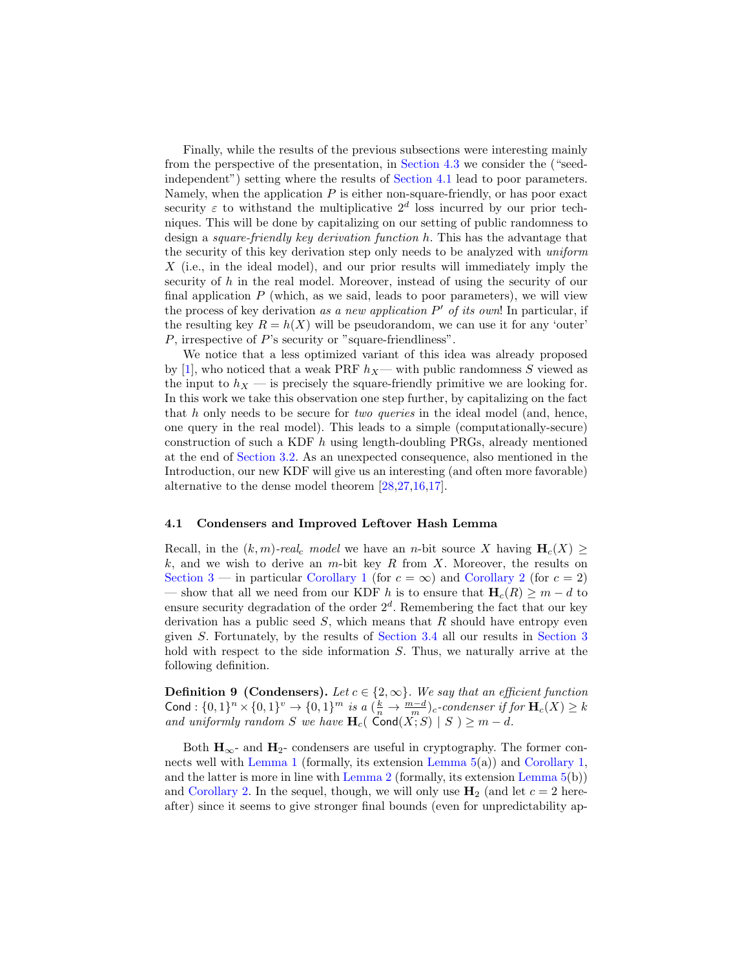Finally, while the results of the previous subsections were interesting mainly from the perspective of the presentation, in [Section 4.3](#page-17-0) we consider the ("seedindependent") setting where the results of [Section 4.1](#page-14-0) lead to poor parameters. Namely, when the application  $P$  is either non-square-friendly, or has poor exact security  $\varepsilon$  to withstand the multiplicative  $2^d$  loss incurred by our prior techniques. This will be done by capitalizing on our setting of public randomness to design a square-friendly key derivation function h. This has the advantage that the security of this key derivation step only needs to be analyzed with uniform X (i.e., in the ideal model), and our prior results will immediately imply the security of h in the real model. Moreover, instead of using the security of our final application  $P$  (which, as we said, leads to poor parameters), we will view the process of key derivation as a new application  $P'$  of its own! In particular, if the resulting key  $R = h(X)$  will be pseudorandom, we can use it for any 'outer' P, irrespective of P's security or "square-friendliness".

We notice that a less optimized variant of this idea was already proposed by [\[1\]](#page-20-7), who noticed that a weak PRF  $h_X$ — with public randomness S viewed as the input to  $h_X$  — is precisely the square-friendly primitive we are looking for. In this work we take this observation one step further, by capitalizing on the fact that h only needs to be secure for *two queries* in the ideal model (and, hence, one query in the real model). This leads to a simple (computationally-secure) construction of such a KDF  $h$  using length-doubling PRGs, already mentioned at the end of [Section 3.2.](#page-8-1) As an unexpected consequence, also mentioned in the Introduction, our new KDF will give us an interesting (and often more favorable) alternative to the dense model theorem [\[28,](#page-21-5)[27,](#page-21-6)[16,](#page-21-7)[17\]](#page-21-8).

#### <span id="page-14-0"></span>4.1 Condensers and Improved Leftover Hash Lemma

Recall, in the  $(k, m)$ -real<sub>c</sub> model we have an n-bit source X having  $H_c(X) \geq$  $k$ , and we wish to derive an m-bit key R from X. Moreover, the results on [Section 3](#page-4-2) — in particular [Corollary 1](#page-4-0) (for  $c = \infty$ ) and [Corollary 2](#page-5-1) (for  $c = 2$ ) — show that all we need from our KDF h is to ensure that  $H_c(R) \geq m - d$  to ensure security degradation of the order  $2<sup>d</sup>$ . Remembering the fact that our key derivation has a public seed  $S$ , which means that  $R$  should have entropy even given S. Fortunately, by the results of [Section 3.4](#page-12-1) all our results in [Section 3](#page-4-2) hold with respect to the side information S. Thus, we naturally arrive at the following definition.

**Definition 9 (Condensers).** Let  $c \in \{2, \infty\}$ . We say that an efficient function Cond :  $\{0,1\}^n \times \{0,1\}^v \to \{0,1\}^m$  is a  $(\frac{k}{n} \to \frac{m-d}{m})_c$ -condenser if for  $\mathbf{H}_c(X) \geq k$ and uniformly random S we have  $\mathbf{H}_c$  (Cond $(X;S)$  | S )  $\geq m-d$ .

Both  $H_{\infty}$ - and  $H_2$ - condensers are useful in cryptography. The former connects well with [Lemma 1](#page-4-1) (formally, its extension [Lemma 5\(](#page-12-2)a)) and [Corollary 1,](#page-4-0) and the latter is more in line with [Lemma 2](#page-5-0) (formally, its extension Lemma  $5(b)$ ) and [Corollary 2.](#page-5-1) In the sequel, though, we will only use  $H_2$  (and let  $c = 2$  hereafter) since it seems to give stronger final bounds (even for unpredictability ap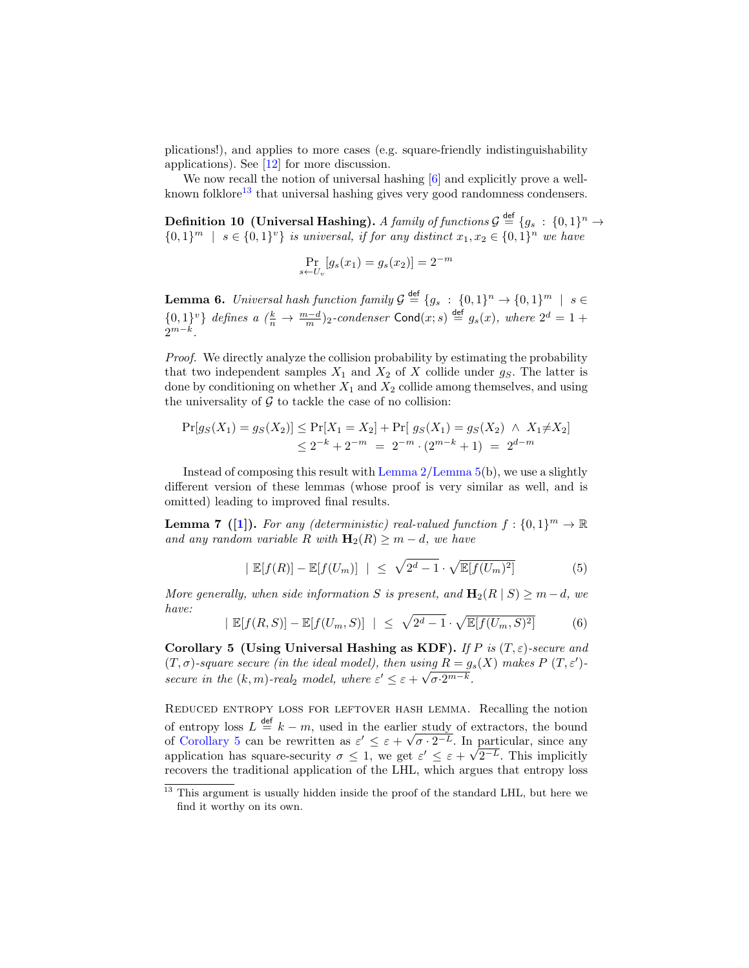plications!), and applies to more cases (e.g. square-friendly indistinguishability applications). See [\[12\]](#page-20-6) for more discussion.

We now recall the notion of universal hashing  $[6]$  and explicitly prove a well-known folklore<sup>[13](#page-15-2)</sup> that universal hashing gives very good randomness condensers.

Definition 10 (Universal Hashing). A family of functions  $\mathcal{G} \stackrel{\mathsf{def}}{=} \{g_s \,:\, \{0,1\}^n \rightarrow$  $\{0,1\}^m$  |  $s \in \{0,1\}^v$  is universal, if for any distinct  $x_1, x_2 \in \{0,1\}^n$  we have

$$
\Pr_{s \leftarrow U_v}[g_s(x_1) = g_s(x_2)] = 2^{-m}
$$

<span id="page-15-0"></span>**Lemma 6.** Universal hash function family  $\mathcal{G} \stackrel{\text{def}}{=} \{g_s \; : \; \{0,1\}^n \to \{0,1\}^m \; \mid \; s \in$  $\{0,1\}^v\}$  defines a  $(\frac{k}{n} \to \frac{m-d}{m})_2$ -condenser Cond $(x; s) \stackrel{\text{def}}{=} g_s(x)$ , where  $2^d = 1 +$  $2^{m-k}$ .

Proof. We directly analyze the collision probability by estimating the probability that two independent samples  $X_1$  and  $X_2$  of X collide under  $g_S$ . The latter is done by conditioning on whether  $X_1$  and  $X_2$  collide among themselves, and using the universality of  $G$  to tackle the case of no collision:

$$
Pr[g_S(X_1) = g_S(X_2)] \le Pr[X_1 = X_2] + Pr[g_S(X_1) = g_S(X_2) \land X_1 \neq X_2]
$$
  

$$
\le 2^{-k} + 2^{-m} = 2^{-m} \cdot (2^{m-k} + 1) = 2^{d-m}
$$

Instead of composing this result with [Lemma 2/](#page-5-0)[Lemma 5\(](#page-12-2)b), we use a slightly different version of these lemmas (whose proof is very similar as well, and is omitted) leading to improved final results.

**Lemma 7** ([\[1\]](#page-20-7)). For any (deterministic) real-valued function  $f: \{0, 1\}^m \to \mathbb{R}$ and any random variable R with  $\mathbf{H}_2(R) \geq m - d$ , we have

$$
|\mathbb{E}[f(R)] - \mathbb{E}[f(U_m)]| \leq \sqrt{2^d - 1} \cdot \sqrt{\mathbb{E}[f(U_m)^2]} \tag{5}
$$

More generally, when side information S is present, and  $\mathbf{H}_2(R \mid S) \geq m-d$ , we have:

$$
|\mathbb{E}[f(R,S)] - \mathbb{E}[f(U_m, S)]| \le \sqrt{2^d - 1} \cdot \sqrt{\mathbb{E}[f(U_m, S)^2]} \tag{6}
$$

<span id="page-15-1"></span>Corollary 5 (Using Universal Hashing as KDF). If P is  $(T, \varepsilon)$ -secure and  $(T, \sigma)$ -square secure (in the ideal model), then using  $R = g_s(X)$  makes  $P(T, \varepsilon')$ secure in the  $(k, m)$ -real<sub>2</sub> model, where  $\varepsilon' \leq \varepsilon + \sqrt{\sigma \cdot 2^{m-k}}$ .

Reduced entropy loss for leftover hash lemma. Recalling the notion of entropy loss  $L \stackrel{\text{def}}{=} k - m$ , used in the earlier study of extractors, the bound of [Corollary 5](#page-15-1) can be rewritten as  $\varepsilon' \leq \varepsilon + \sqrt{\sigma \cdot 2^{-L}}$ . In particular, since any of Corollary 5 can be rewritten as  $\varepsilon \leq \varepsilon + \sqrt{\sigma \cdot 2^{-\nu}}$ . In application has square-security  $\sigma \leq 1$ , we get  $\varepsilon' \leq \varepsilon + \sqrt{\sigma \cdot 2^{-\nu}}$ .  $2^{-L}$ . This implicitly recovers the traditional application of the LHL, which argues that entropy loss

<span id="page-15-2"></span><sup>&</sup>lt;sup>13</sup> This argument is usually hidden inside the proof of the standard LHL, but here we find it worthy on its own.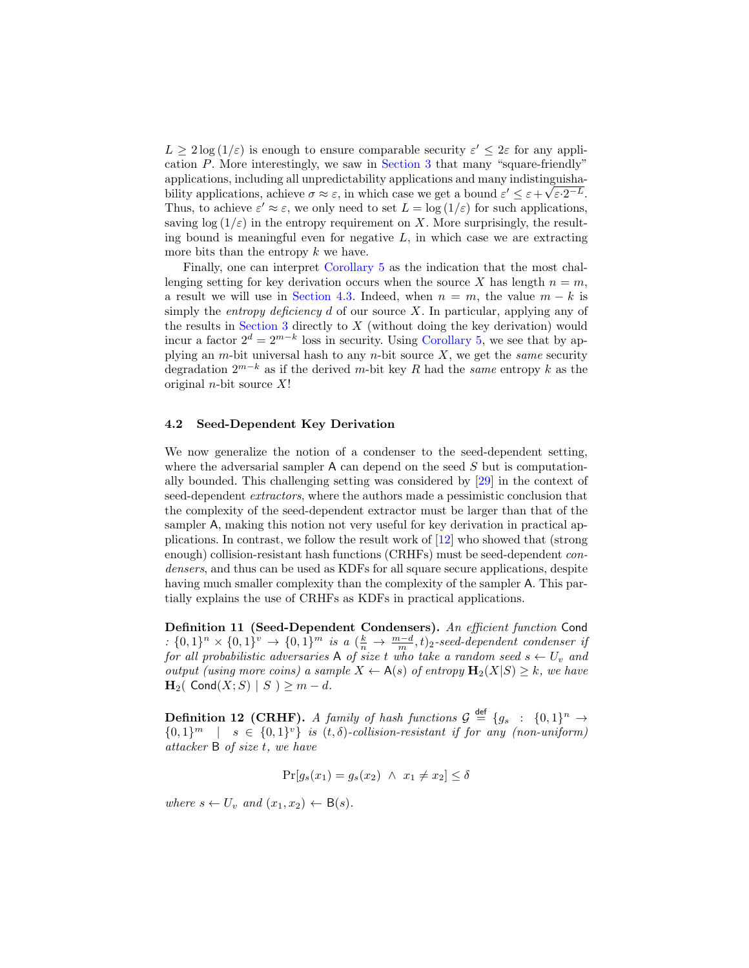$L \geq 2 \log (1/\varepsilon)$  is enough to ensure comparable security  $\varepsilon' \leq 2\varepsilon$  for any application P. More interestingly, we saw in [Section 3](#page-4-2) that many "square-friendly" applications, including all unpredictability applications and many indistinguishability applications, achieve  $\sigma \approx \varepsilon$ , in which case we get a bound  $\varepsilon' \leq \varepsilon + \sqrt{\varepsilon \cdot 2^{-L}}$ . Thus, to achieve  $\varepsilon' \approx \varepsilon$ , we only need to set  $L = \log(1/\varepsilon)$  for such applications, saving  $\log(1/\varepsilon)$  in the entropy requirement on X. More surprisingly, the resulting bound is meaningful even for negative  $L$ , in which case we are extracting more bits than the entropy  $k$  we have.

Finally, one can interpret [Corollary 5](#page-15-1) as the indication that the most challenging setting for key derivation occurs when the source X has length  $n = m$ , a result we will use in [Section 4.3.](#page-17-0) Indeed, when  $n = m$ , the value  $m - k$  is simply the *entropy deficiency* d of our source X. In particular, applying any of the results in [Section 3](#page-4-2) directly to  $X$  (without doing the key derivation) would incur a factor  $2^d = 2^{m-k}$  loss in security. Using [Corollary 5,](#page-15-1) we see that by applying an m-bit universal hash to any n-bit source  $X$ , we get the same security degradation  $2^{m-k}$  as if the derived m-bit key R had the same entropy k as the original *n*-bit source  $X!$ 

#### <span id="page-16-1"></span>4.2 Seed-Dependent Key Derivation

We now generalize the notion of a condenser to the seed-dependent setting, where the adversarial sampler  $A$  can depend on the seed  $S$  but is computationally bounded. This challenging setting was considered by [\[29\]](#page-21-13) in the context of seed-dependent *extractors*, where the authors made a pessimistic conclusion that the complexity of the seed-dependent extractor must be larger than that of the sampler A, making this notion not very useful for key derivation in practical applications. In contrast, we follow the result work of [\[12\]](#page-20-6) who showed that (strong enough) collision-resistant hash functions (CRHFs) must be seed-dependent condensers, and thus can be used as KDFs for all square secure applications, despite having much smaller complexity than the complexity of the sampler A. This partially explains the use of CRHFs as KDFs in practical applications.

Definition 11 (Seed-Dependent Condensers). An efficient function Cond :  $\{0,1\}^n \times \{0,1\}^v \rightarrow \{0,1\}^m$  is a  $(\frac{k}{n} \rightarrow \frac{m-d}{m}, t)_2$ -seed-dependent condenser if for all probabilistic adversaries  $A$  of size t who take a random seed  $s \leftarrow U_v$  and output (using more coins) a sample  $X \leftarrow A(s)$  of entropy  $\mathbf{H}_2(X|S) \geq k$ , we have  $\mathbf{H}_2$ ( Cond $(X;S)$  | S )  $\geq m-d$ .

**Definition 12 (CRHF).** A family of hash functions  $\mathcal{G} \stackrel{\text{def}}{=} \{g_s : \{0,1\}^n \to$  ${0,1}^m$  | s  $\in$   ${0,1}^v$ } is  $(t, \delta)$ -collision-resistant if for any (non-uniform) attacker B of size t, we have

$$
\Pr[g_s(x_1) = g_s(x_2) \land x_1 \neq x_2] \leq \delta
$$

<span id="page-16-0"></span>where  $s \leftarrow U_v$  and  $(x_1, x_2) \leftarrow B(s)$ .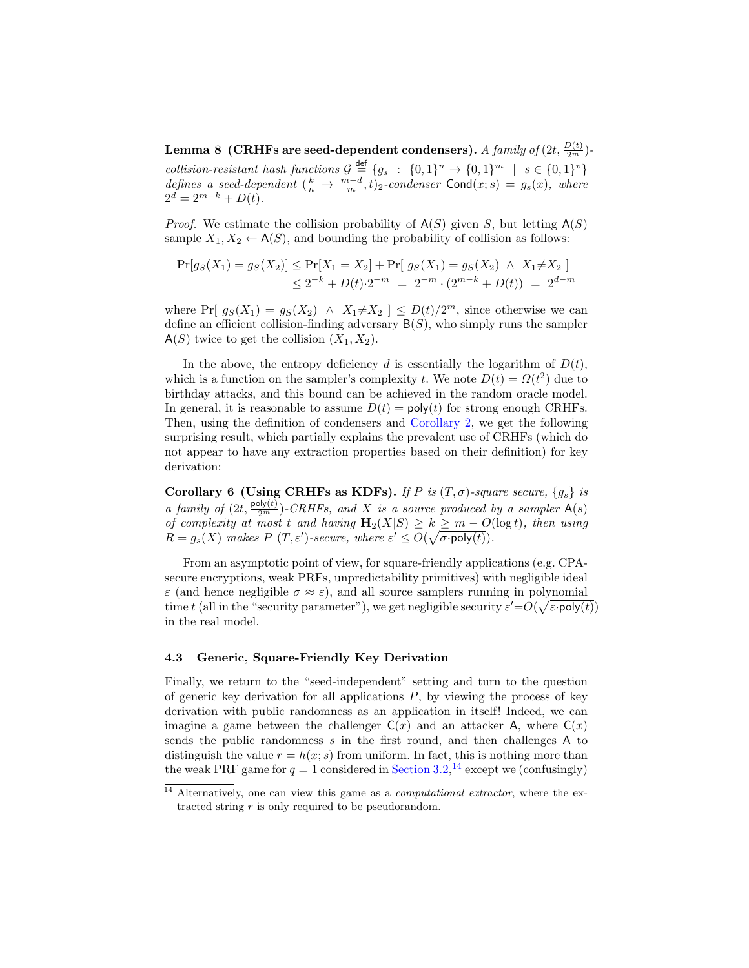${\bf Lemma}$  8  $\rm \,(CRHFs$  are seed-dependent condensers).  $A$   $family$  of  $(2t,{{D(t)}\over{2^m}})$ collision-resistant hash functions  $\mathcal{G} \stackrel{\text{def}}{=} \{g_s : \{0,1\}^n \to \{0,1\}^m \mid s \in \{0,1\}^v\}$ defines a seed-dependent  $(\frac{k}{n} \to \frac{m-d}{m}, t)_2$ -condenser Cond $(x; s) = g_s(x)$ , where  $2^d = 2^{m-k} + D(t).$ 

*Proof.* We estimate the collision probability of  $A(S)$  given S, but letting  $A(S)$ sample  $X_1, X_2 \leftarrow A(S)$ , and bounding the probability of collision as follows:

$$
\Pr[g_S(X_1) = g_S(X_2)] \le \Pr[X_1 = X_2] + \Pr[g_S(X_1) = g_S(X_2) \land X_1 \ne X_2]
$$
  
 
$$
\le 2^{-k} + D(t) \cdot 2^{-m} = 2^{-m} \cdot (2^{m-k} + D(t)) = 2^{d-m}
$$

where Pr[ $g_S(X_1) = g_S(X_2) \land X_1 \neq X_2$ ]  $\leq D(t)/2^m$ , since otherwise we can define an efficient collision-finding adversary  $B(S)$ , who simply runs the sampler  $A(S)$  twice to get the collision  $(X_1, X_2)$ .

In the above, the entropy deficiency d is essentially the logarithm of  $D(t)$ , which is a function on the sampler's complexity t. We note  $D(t) = \Omega(t^2)$  due to birthday attacks, and this bound can be achieved in the random oracle model. In general, it is reasonable to assume  $D(t) = \text{poly}(t)$  for strong enough CRHFs. Then, using the definition of condensers and [Corollary 2,](#page-5-1) we get the following surprising result, which partially explains the prevalent use of CRHFs (which do not appear to have any extraction properties based on their definition) for key derivation:

Corollary 6 (Using CRHFs as KDFs). If P is  $(T, \sigma)$ -square secure,  $\{g_s\}$  is a family of  $(2t, \frac{\text{poly}(t)}{2^m})$ -CRHFs, and X is a source produced by a sampler  $A(s)$ of complexity at most t and having  $\mathbf{H}_2(X|S) \geq k \geq m - O(\log t)$ , then using  $R = g_s(X)$  makes  $P(T, \varepsilon')$ -secure, where  $\varepsilon' \leq O(\sqrt{\sigma \cdot \text{poly}(t)})$ .

From an asymptotic point of view, for square-friendly applications (e.g. CPAsecure encryptions, weak PRFs, unpredictability primitives) with negligible ideal  $\varepsilon$  (and hence negligible  $\sigma \approx \varepsilon$ ), and all source samplers running in polynomial time t (all in the "security parameter"), we get negligible security  $\varepsilon' = O(\sqrt{\varepsilon \cdot \text{poly}(t)})$ in the real model.

### <span id="page-17-0"></span>4.3 Generic, Square-Friendly Key Derivation

Finally, we return to the "seed-independent" setting and turn to the question of generic key derivation for all applications  $P$ , by viewing the process of key derivation with public randomness as an application in itself! Indeed, we can imagine a game between the challenger  $C(x)$  and an attacker A, where  $C(x)$ sends the public randomness  $s$  in the first round, and then challenges  $A$  to distinguish the value  $r = h(x; s)$  from uniform. In fact, this is nothing more than the weak PRF game for  $q = 1$  considered in [Section 3.2,](#page-8-1)<sup>[14](#page-17-1)</sup> except we (confusingly)

<span id="page-17-1"></span> $14$  Alternatively, one can view this game as a *computational extractor*, where the extracted string  $r$  is only required to be pseudorandom.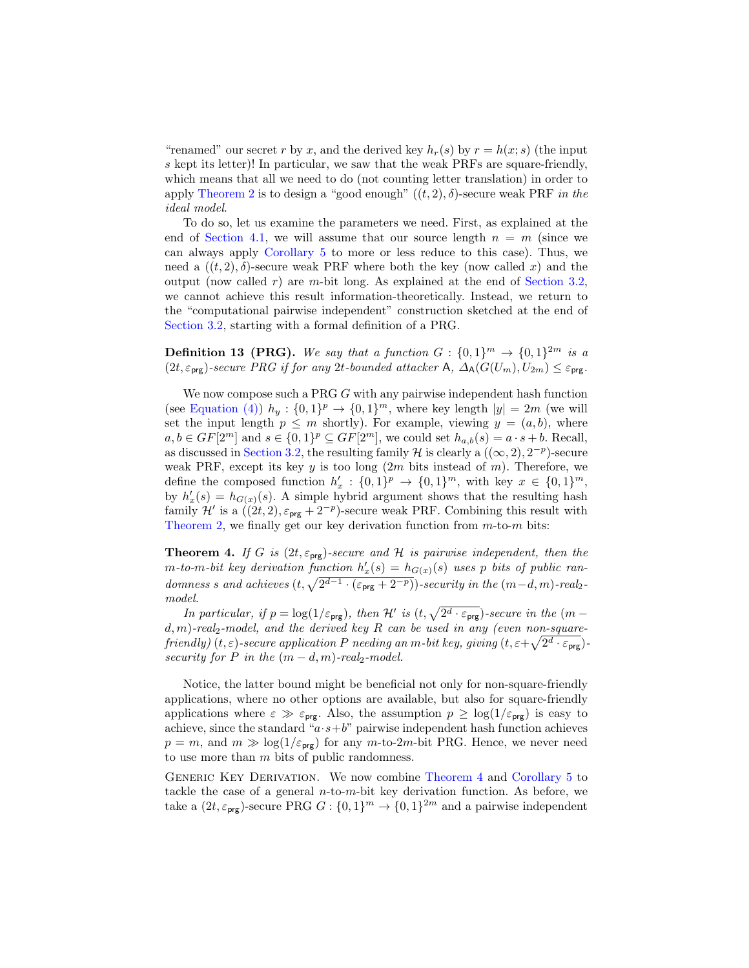"renamed" our secret r by x, and the derived key  $h_r(s)$  by  $r = h(x; s)$  (the input s kept its letter)! In particular, we saw that the weak PRFs are square-friendly, which means that all we need to do (not counting letter translation) in order to apply [Theorem 2](#page-9-0) is to design a "good enough"  $((t, 2), \delta)$ -secure weak PRF in the ideal model.

To do so, let us examine the parameters we need. First, as explained at the end of [Section 4.1,](#page-14-0) we will assume that our source length  $n = m$  (since we can always apply [Corollary 5](#page-15-1) to more or less reduce to this case). Thus, we need a  $((t, 2), \delta)$ -secure weak PRF where both the key (now called x) and the output (now called  $r$ ) are  $m$ -bit long. As explained at the end of [Section 3.2,](#page-8-1) we cannot achieve this result information-theoretically. Instead, we return to the "computational pairwise independent" construction sketched at the end of [Section 3.2,](#page-8-1) starting with a formal definition of a PRG.

**Definition 13 (PRG).** We say that a function  $G: \{0,1\}^m \rightarrow \{0,1\}^{2m}$  is a  $(2t, \varepsilon_{\text{prg}})$ -secure PRG if for any 2t-bounded attacker A,  $\Delta_{A}(G(U_m), U_{2m}) \leq \varepsilon_{\text{prg}}$ .

We now compose such a PRG G with any pairwise independent hash function (see [Equation \(4\)\)](#page-9-1)  $h_y: \{0,1\}^p \to \{0,1\}^m$ , where key length  $|y| = 2m$  (we will set the input length  $p \leq m$  shortly). For example, viewing  $y = (a, b)$ , where  $a, b \in GF[2^m]$  and  $s \in \{0, 1\}^p \subseteq GF[2^m]$ , we could set  $h_{a,b}(s) = a \cdot s + b$ . Recall, as discussed in [Section 3.2,](#page-8-1) the resulting family H is clearly a  $((\infty, 2), 2^{-p})$ -secure weak PRF, except its key y is too long  $(2m)$  bits instead of m). Therefore, we define the composed function  $h'_x: \{0,1\}^p \to \{0,1\}^m$ , with key  $x \in \{0,1\}^m$ , by  $h'_x(s) = h_{G(x)}(s)$ . A simple hybrid argument shows that the resulting hash family  $\mathcal{H}'$  is a  $((2t, 2), \varepsilon_{\text{prg}} + 2^{-p})$ -secure weak PRF. Combining this result with [Theorem 2,](#page-9-0) we finally get our key derivation function from  $m$ -to- $m$  bits:

<span id="page-18-0"></span>**Theorem 4.** If G is  $(2t, \varepsilon_{\text{prg}})$ -secure and H is pairwise independent, then the  $m$ -to-m-bit key derivation function  $h'_x(s) = h_{G(x)}(s)$  uses p bits of public randomness s and achieves  $(t, \sqrt{2^{d-1} \cdot (\varepsilon_{\text{prg}} + 2^{-p})})$ -security in the  $(m-d, m)$ -real<sub>2</sub>model.

In particular, if  $p = \log(1/\varepsilon_{\text{prg}})$ , then H' is  $(t, \sqrt{2^d \cdot \varepsilon_{\text{prg}}})$ -secure in the  $(m$  $d, m$ )-real<sub>2</sub>-model, and the derived key R can be used in any (even non-squarefriendly)  $(t, \varepsilon)$ -secure application P needing an m-bit key, giving  $(t, \varepsilon + \sqrt{2^d\cdot\varepsilon_{\textsf{prg}}})$ security for P in the  $(m - d, m)$ -real<sub>2</sub>-model.

Notice, the latter bound might be beneficial not only for non-square-friendly applications, where no other options are available, but also for square-friendly applications where  $\varepsilon \gg \varepsilon_{\text{prg}}$ . Also, the assumption  $p \geq \log(1/\varepsilon_{\text{prg}})$  is easy to achieve, since the standard " $a \cdot s + b$ " pairwise independent hash function achieves  $p = m$ , and  $m \gg \log(1/\varepsilon_{\text{prg}})$  for any m-to-2m-bit PRG. Hence, we never need to use more than m bits of public randomness.

Generic Key Derivation. We now combine [Theorem 4](#page-18-0) and [Corollary 5](#page-15-1) to tackle the case of a general  $n$ -to- $m$ -bit key derivation function. As before, we take a  $(2t, \varepsilon_{\text{prg}})$ -secure PRG  $G: \{0,1\}^m \to \{0,1\}^{2m}$  and a pairwise independent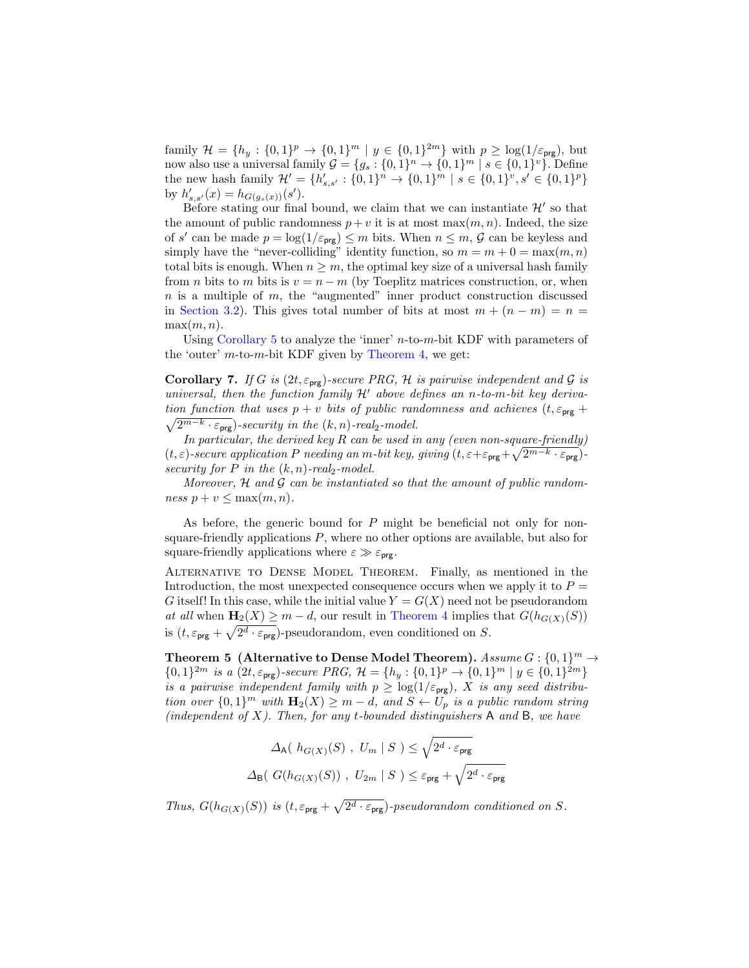family  $\mathcal{H} = \{h_y : \{0,1\}^p \to \{0,1\}^m \mid y \in \{0,1\}^{2m}\}\$  with  $p \geq \log(1/\varepsilon_{\text{prg}})$ , but now also use a universal family  $\mathcal{G} = \{g_s : \{0,1\}^n \to \{0,1\}^m \mid s \in \{0,1\}^v\}$ . Define the new hash family  $\mathcal{H}' = \{h'_{s,s'} : \{0,1\}^n \to \{0,1\}^m \mid s \in \{0,1\}^v, s' \in \{0,1\}^p\}$ by  $h'_{s,s'}(x) = h_{G(g_s(x))}(s').$ 

Before stating our final bound, we claim that we can instantiate  $\mathcal{H}'$  so that the amount of public randomness  $p + v$  it is at most max $(m, n)$ . Indeed, the size of s' can be made  $p = \log(1/\varepsilon_{\text{prg}}) \leq m$  bits. When  $n \leq m$ ,  $\mathcal G$  can be keyless and simply have the "never-colliding" identity function, so  $m = m + 0 = \max(m, n)$ total bits is enough. When  $n \geq m$ , the optimal key size of a universal hash family from *n* bits to *m* bits is  $v = n - m$  (by Toeplitz matrices construction, or, when  $n$  is a multiple of  $m$ , the "augmented" inner product construction discussed in [Section 3.2\)](#page-8-1). This gives total number of bits at most  $m + (n - m) = n =$  $\max(m, n)$ .

Using [Corollary 5](#page-15-1) to analyze the 'inner'  $n$ -to- $m$ -bit KDF with parameters of the 'outer'  $m$ -to- $m$ -bit KDF given by [Theorem 4,](#page-18-0) we get:

**Corollary 7.** If G is  $(2t, \varepsilon_{\text{prg}})$ -secure PRG, H is pairwise independent and G is universal, then the function family  $\mathcal{H}'$  above defines an n-to-m-bit key derivation function that uses  $p + v$  bits of public randomness and achieves  $(t, \varepsilon_{\text{prg}} +$  $\sqrt{2^{m-k} \cdot \varepsilon_{\text{prg}}}$ )-security in the  $(k, n)$ -real<sub>2</sub>-model.

In particular, the derived key  $R$  can be used in any (even non-square-friendly)  $(t, \varepsilon)$ -secure application P needing an m-bit key, giving  $(t, \varepsilon + \varepsilon_{\text{prg}} + \sqrt{2^{m-k} \cdot \varepsilon_{\text{prg}}}$ ) security for P in the  $(k, n)$ -real<sub>2</sub>-model.

Moreover,  $H$  and  $G$  can be instantiated so that the amount of public randomness  $p + v \leq \max(m, n)$ .

As before, the generic bound for  $P$  might be beneficial not only for nonsquare-friendly applications  $P$ , where no other options are available, but also for square-friendly applications where  $\varepsilon \gg \varepsilon_{\text{prg}}$ .

Alternative to Dense Model Theorem. Finally, as mentioned in the Introduction, the most unexpected consequence occurs when we apply it to  $P =$ G itself! In this case, while the initial value  $Y = G(X)$  need not be pseudorandom at all when  $\mathbf{H}_2(X) \geq m - d$ , our result in [Theorem 4](#page-18-0) implies that  $G(h_{G(X)}(S))$ is  $(t, \varepsilon_{\text{prg}} + \sqrt{2^d \cdot \varepsilon_{\text{prg}}})$ -pseudorandom, even conditioned on S.

Theorem 5 (Alternative to Dense Model Theorem).  $Assume G: \{0,1\}^m \to$  $\{0,1\}^{2m}$  is a  $(2t, \varepsilon_{\text{prg}})$ -secure PRG,  $\mathcal{H} = \{h_y : \{0,1\}^p \to \{0,1\}^m \mid y \in \{0,1\}^{2m}\}\$ is a pairwise independent family with  $p \geq \log(1/\varepsilon_{\text{prg}})$ , X is any seed distribution over  $\{0,1\}^m$  with  $\mathbf{H}_2(X) \geq m-d$ , and  $S \leftarrow U_p$  is a public random string (independent of  $X$ ). Then, for any t-bounded distinguishers  $A$  and  $B$ , we have

$$
\Delta_{\mathsf{A}}(\ h_{G(X)}(S) , U_m | S) \leq \sqrt{2^d \cdot \varepsilon_{\text{prg}}}
$$
  

$$
\Delta_{\mathsf{B}}(\ G(h_{G(X)}(S)) , U_{2m} | S) \leq \varepsilon_{\text{prg}} + \sqrt{2^d \cdot \varepsilon_{\text{prg}}}
$$

Thus,  $G(h_{G(X)}(S))$  is  $(t, \varepsilon_{\text{prg}} + \sqrt{2^d \cdot \varepsilon_{\text{prg}}})$ -pseudorandom conditioned on S.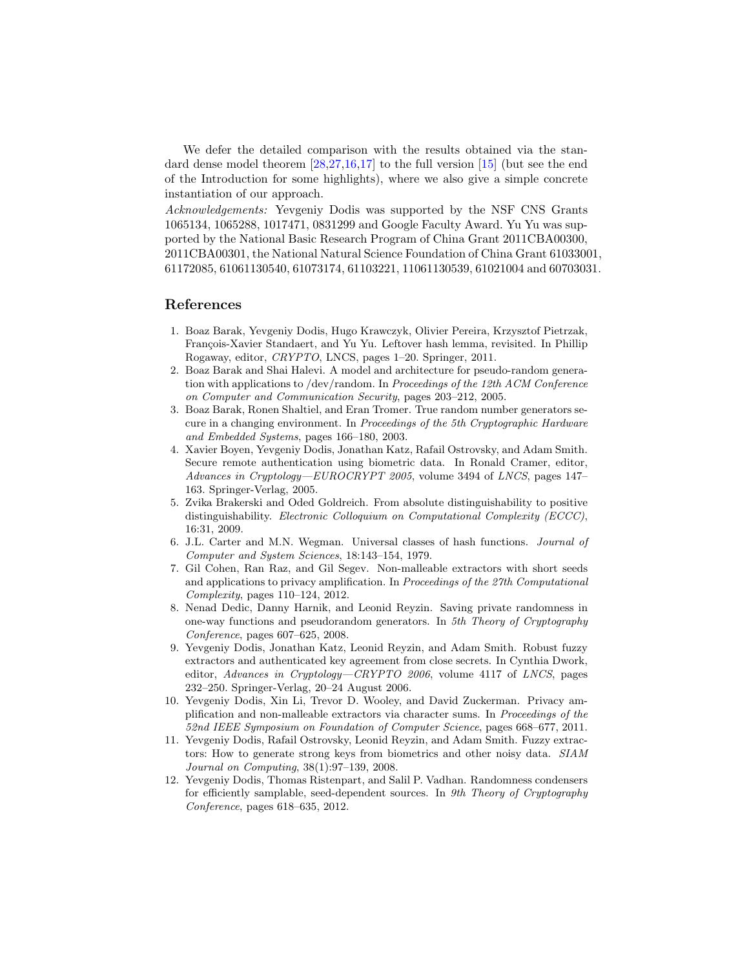We defer the detailed comparison with the results obtained via the standard dense model theorem [\[28,](#page-21-5)[27,](#page-21-6)[16,](#page-21-7)[17\]](#page-21-8) to the full version [\[15\]](#page-21-15) (but see the end of the Introduction for some highlights), where we also give a simple concrete instantiation of our approach.

Acknowledgements: Yevgeniy Dodis was supported by the NSF CNS Grants 1065134, 1065288, 1017471, 0831299 and Google Faculty Award. Yu Yu was supported by the National Basic Research Program of China Grant 2011CBA00300, 2011CBA00301, the National Natural Science Foundation of China Grant 61033001, 61172085, 61061130540, 61073174, 61103221, 11061130539, 61021004 and 60703031.

### References

- <span id="page-20-7"></span>1. Boaz Barak, Yevgeniy Dodis, Hugo Krawczyk, Olivier Pereira, Krzysztof Pietrzak, François-Xavier Standaert, and Yu Yu. Leftover hash lemma, revisited. In Phillip Rogaway, editor, CRYPTO, LNCS, pages 1–20. Springer, 2011.
- <span id="page-20-3"></span>2. Boaz Barak and Shai Halevi. A model and architecture for pseudo-random generation with applications to /dev/random. In Proceedings of the 12th ACM Conference on Computer and Communication Security, pages 203–212, 2005.
- <span id="page-20-2"></span>3. Boaz Barak, Ronen Shaltiel, and Eran Tromer. True random number generators secure in a changing environment. In Proceedings of the 5th Cryptographic Hardware and Embedded Systems, pages 166–180, 2003.
- <span id="page-20-1"></span>4. Xavier Boyen, Yevgeniy Dodis, Jonathan Katz, Rafail Ostrovsky, and Adam Smith. Secure remote authentication using biometric data. In Ronald Cramer, editor, Advances in Cryptology—EUROCRYPT 2005, volume 3494 of LNCS, pages 147– 163. Springer-Verlag, 2005.
- <span id="page-20-10"></span>5. Zvika Brakerski and Oded Goldreich. From absolute distinguishability to positive distinguishability. Electronic Colloquium on Computational Complexity (ECCC), 16:31, 2009.
- <span id="page-20-11"></span>6. J.L. Carter and M.N. Wegman. Universal classes of hash functions. Journal of Computer and System Sciences, 18:143–154, 1979.
- <span id="page-20-5"></span>7. Gil Cohen, Ran Raz, and Gil Segev. Non-malleable extractors with short seeds and applications to privacy amplification. In Proceedings of the 27th Computational Complexity, pages 110–124, 2012.
- <span id="page-20-9"></span>8. Nenad Dedic, Danny Harnik, and Leonid Reyzin. Saving private randomness in one-way functions and pseudorandom generators. In 5th Theory of Cryptography Conference, pages 607–625, 2008.
- <span id="page-20-8"></span>9. Yevgeniy Dodis, Jonathan Katz, Leonid Reyzin, and Adam Smith. Robust fuzzy extractors and authenticated key agreement from close secrets. In Cynthia Dwork, editor, Advances in Cryptology—CRYPTO 2006, volume 4117 of LNCS, pages 232–250. Springer-Verlag, 20–24 August 2006.
- <span id="page-20-4"></span>10. Yevgeniy Dodis, Xin Li, Trevor D. Wooley, and David Zuckerman. Privacy amplification and non-malleable extractors via character sums. In Proceedings of the 52nd IEEE Symposium on Foundation of Computer Science, pages 668–677, 2011.
- <span id="page-20-0"></span>11. Yevgeniy Dodis, Rafail Ostrovsky, Leonid Reyzin, and Adam Smith. Fuzzy extractors: How to generate strong keys from biometrics and other noisy data. SIAM Journal on Computing, 38(1):97–139, 2008.
- <span id="page-20-6"></span>12. Yevgeniy Dodis, Thomas Ristenpart, and Salil P. Vadhan. Randomness condensers for efficiently samplable, seed-dependent sources. In 9th Theory of Cryptography Conference, pages 618–635, 2012.